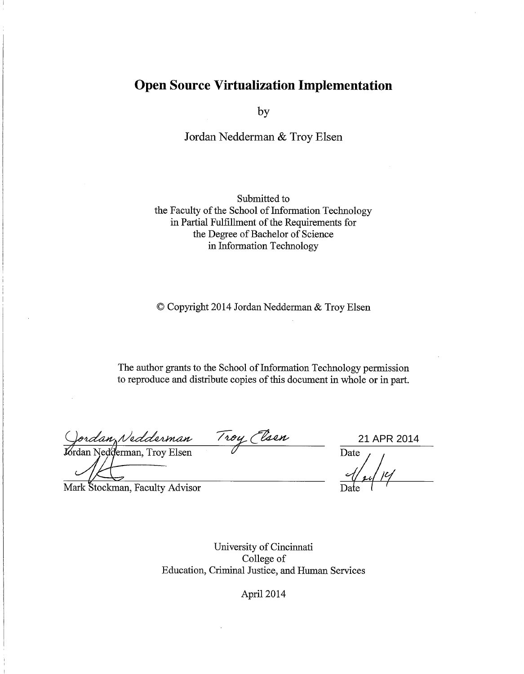# **Open Source Virtualization Implementation**

by

Jordan Nedderman & Troy Elsen

Submitted to the Faculty of the School of Information Technology in Partial Fulfillment of the Requirements for the Degree of Bachelor of Science in Information Technology

© Copyright 2014 Jordan Nedderman & Troy Elsen

The author grants to the School of Information Technology permission to reproduce and distribute copies of this document in whole or in part.

Jordan Nedderman Troy Elsen<br>Jordan Nedderman, Troy Elsen

21 APR 2014

Date

Mark Stockman, Faculty Advisor

University of Cincinnati College of Education, Criminal Justice, and Human Services

April 2014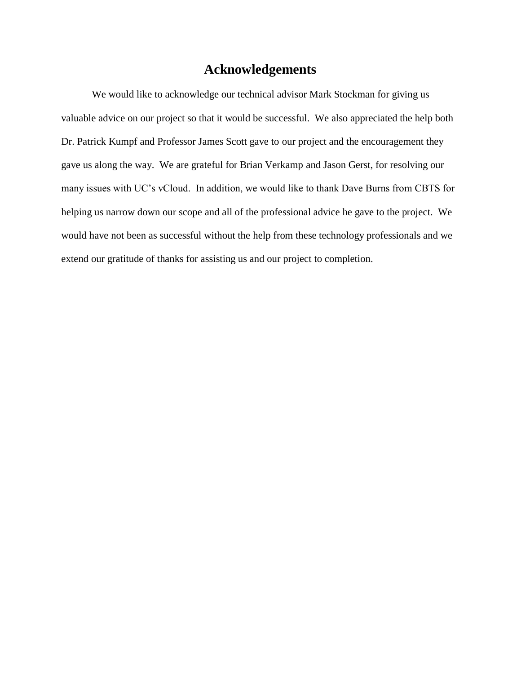# **Acknowledgements**

We would like to acknowledge our technical advisor Mark Stockman for giving us valuable advice on our project so that it would be successful. We also appreciated the help both Dr. Patrick Kumpf and Professor James Scott gave to our project and the encouragement they gave us along the way. We are grateful for Brian Verkamp and Jason Gerst, for resolving our many issues with UC's vCloud. In addition, we would like to thank Dave Burns from CBTS for helping us narrow down our scope and all of the professional advice he gave to the project. We would have not been as successful without the help from these technology professionals and we extend our gratitude of thanks for assisting us and our project to completion.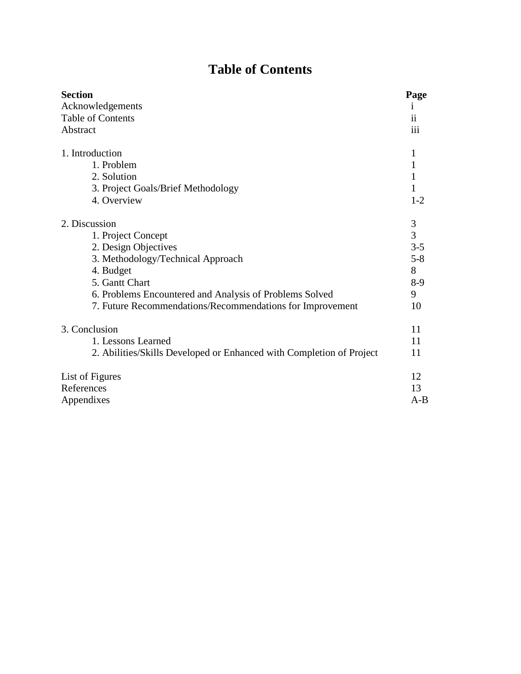# **Table of Contents**

| <b>Section</b>                                                       | Page          |
|----------------------------------------------------------------------|---------------|
| Acknowledgements                                                     | 1             |
| Table of Contents                                                    | ii            |
| Abstract                                                             | iii           |
| 1. Introduction                                                      |               |
| 1. Problem                                                           |               |
| 2. Solution                                                          |               |
| 3. Project Goals/Brief Methodology                                   |               |
| 4. Overview                                                          | $1 - 2$       |
| 2. Discussion                                                        |               |
| 1. Project Concept                                                   | $\frac{3}{3}$ |
| 2. Design Objectives                                                 | $3 - 5$       |
| 3. Methodology/Technical Approach                                    | $5 - 8$       |
| 4. Budget                                                            | 8             |
| 5. Gantt Chart                                                       | 8-9           |
| 6. Problems Encountered and Analysis of Problems Solved              | 9             |
| 7. Future Recommendations/Recommendations for Improvement            | 10            |
| 3. Conclusion                                                        | 11            |
| 1. Lessons Learned                                                   | 11            |
| 2. Abilities/Skills Developed or Enhanced with Completion of Project | 11            |
| List of Figures                                                      | 12            |
| References                                                           | 13            |
| Appendixes                                                           | $A-B$         |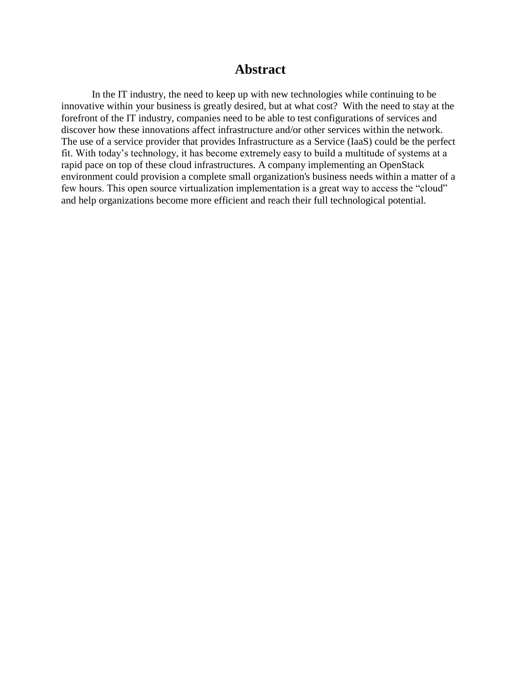# **Abstract**

In the IT industry, the need to keep up with new technologies while continuing to be innovative within your business is greatly desired, but at what cost? With the need to stay at the forefront of the IT industry, companies need to be able to test configurations of services and discover how these innovations affect infrastructure and/or other services within the network. The use of a service provider that provides Infrastructure as a Service (IaaS) could be the perfect fit. With today's technology, it has become extremely easy to build a multitude of systems at a rapid pace on top of these cloud infrastructures. A company implementing an OpenStack environment could provision a complete small organization's business needs within a matter of a few hours. This open source virtualization implementation is a great way to access the "cloud" and help organizations become more efficient and reach their full technological potential.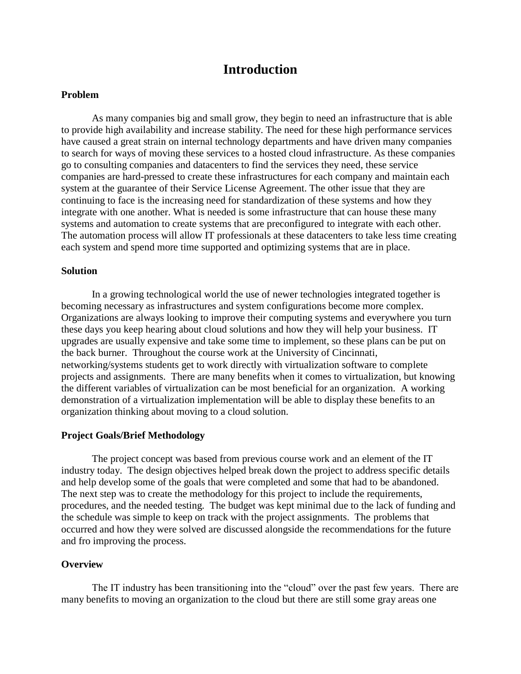# **Introduction**

## **Problem**

As many companies big and small grow, they begin to need an infrastructure that is able to provide high availability and increase stability. The need for these high performance services have caused a great strain on internal technology departments and have driven many companies to search for ways of moving these services to a hosted cloud infrastructure. As these companies go to consulting companies and datacenters to find the services they need, these service companies are hard-pressed to create these infrastructures for each company and maintain each system at the guarantee of their Service License Agreement. The other issue that they are continuing to face is the increasing need for standardization of these systems and how they integrate with one another. What is needed is some infrastructure that can house these many systems and automation to create systems that are preconfigured to integrate with each other. The automation process will allow IT professionals at these datacenters to take less time creating each system and spend more time supported and optimizing systems that are in place.

### **Solution**

In a growing technological world the use of newer technologies integrated together is becoming necessary as infrastructures and system configurations become more complex. Organizations are always looking to improve their computing systems and everywhere you turn these days you keep hearing about cloud solutions and how they will help your business. IT upgrades are usually expensive and take some time to implement, so these plans can be put on the back burner. Throughout the course work at the University of Cincinnati, networking/systems students get to work directly with virtualization software to complete projects and assignments. There are many benefits when it comes to virtualization, but knowing the different variables of virtualization can be most beneficial for an organization. A working demonstration of a virtualization implementation will be able to display these benefits to an organization thinking about moving to a cloud solution.

### **Project Goals/Brief Methodology**

The project concept was based from previous course work and an element of the IT industry today. The design objectives helped break down the project to address specific details and help develop some of the goals that were completed and some that had to be abandoned. The next step was to create the methodology for this project to include the requirements, procedures, and the needed testing. The budget was kept minimal due to the lack of funding and the schedule was simple to keep on track with the project assignments. The problems that occurred and how they were solved are discussed alongside the recommendations for the future and fro improving the process.

### **Overview**

The IT industry has been transitioning into the "cloud" over the past few years. There are many benefits to moving an organization to the cloud but there are still some gray areas one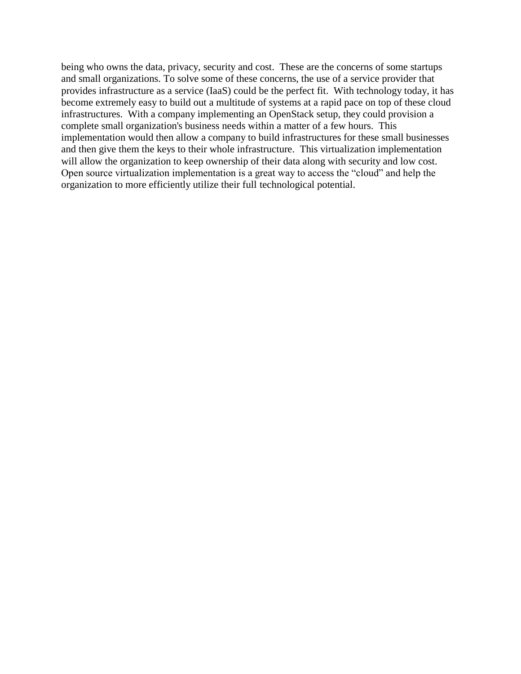being who owns the data, privacy, security and cost. These are the concerns of some startups and small organizations. To solve some of these concerns, the use of a service provider that provides infrastructure as a service (IaaS) could be the perfect fit. With technology today, it has become extremely easy to build out a multitude of systems at a rapid pace on top of these cloud infrastructures. With a company implementing an OpenStack setup, they could provision a complete small organization's business needs within a matter of a few hours. This implementation would then allow a company to build infrastructures for these small businesses and then give them the keys to their whole infrastructure. This virtualization implementation will allow the organization to keep ownership of their data along with security and low cost. Open source virtualization implementation is a great way to access the "cloud" and help the organization to more efficiently utilize their full technological potential.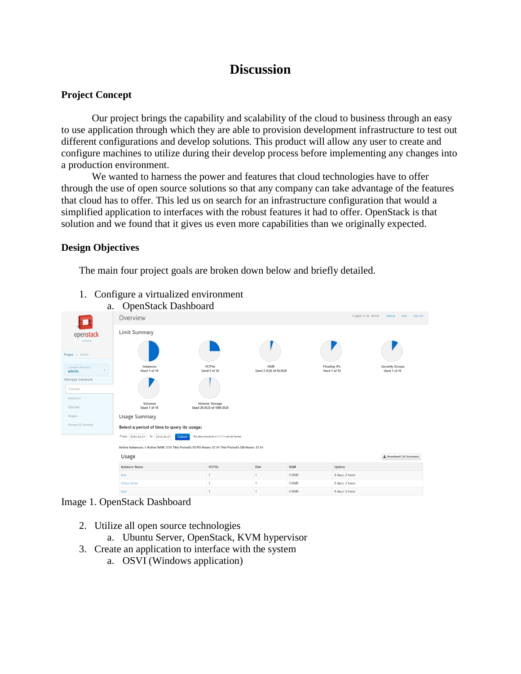# **Discussion**

## **Project Concept**

Our project brings the capability and scalability of the cloud to business through an easy to use application through which they are able to provision development infrastructure to test out different configurations and develop solutions. This product will allow any user to create and configure machines to utilize during their develop process before implementing any changes into a production environment.

We wanted to harness the power and features that cloud technologies have to offer through the use of open source solutions so that any company can take advantage of the features that cloud has to offer. This led us on search for an infrastructure configuration that would a simplified application to interfaces with the robust features it had to offer. OpenStack is that solution and we found that it gives us even more capabilities than we originally expected.

## **Design Objectives**

The main four project goals are broken down below and briefly detailed.



# 1. Configure a virtualized environment

### Image 1. OpenStack Dashboard

- 2. Utilize all open source technologies
	- a. Ubuntu Server, OpenStack, KVM hypervisor
- 3. Create an application to interface with the system
	- a. OSVI (Windows application)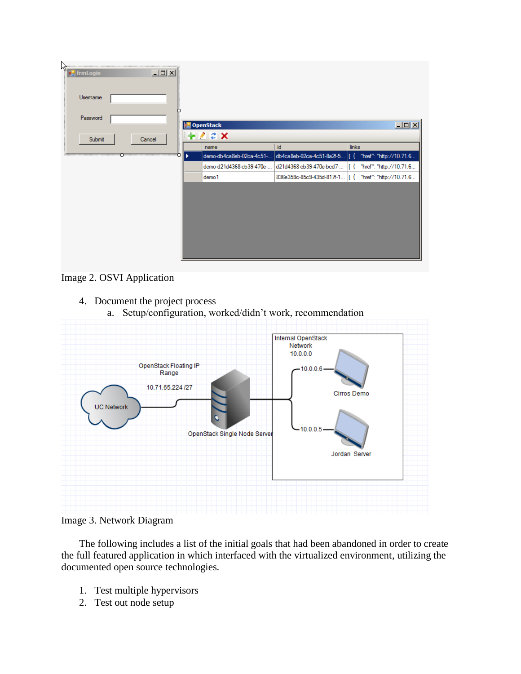| ષ્ઠિ<br><b>FormLogin</b><br>그미지<br>Usemame |                                                                                   |                                              |
|--------------------------------------------|-----------------------------------------------------------------------------------|----------------------------------------------|
| Password                                   | OpenStack                                                                         | $\Box$                                       |
| Submit<br>Cancel                           | $+22$ $\times$                                                                    |                                              |
|                                            | id<br>name                                                                        | links                                        |
|                                            | db4ca8eb-02ca-4c51-8a2f-5  [<br>demo-db4ca8eb-02ca-4c51-                          | $\left\{ \right.$<br>"href": "http://10.71.6 |
|                                            | d21d4368-cb39-470e-bcd7-  [ { "href": "http://10.71.6<br>demo-d21d4368-cb39-470e- |                                              |
|                                            | 836e359c-85c9-435d-817f-1 [ { "href": "http://10.71.6<br>demo <sub>1</sub>        |                                              |
|                                            |                                                                                   |                                              |

Image 2. OSVI Application

- 4. Document the project process
	- a. Setup/configuration, worked/didn't work, recommendation



Image 3. Network Diagram

The following includes a list of the initial goals that had been abandoned in order to create the full featured application in which interfaced with the virtualized environment, utilizing the documented open source technologies.

- 1. Test multiple hypervisors
- 2. Test out node setup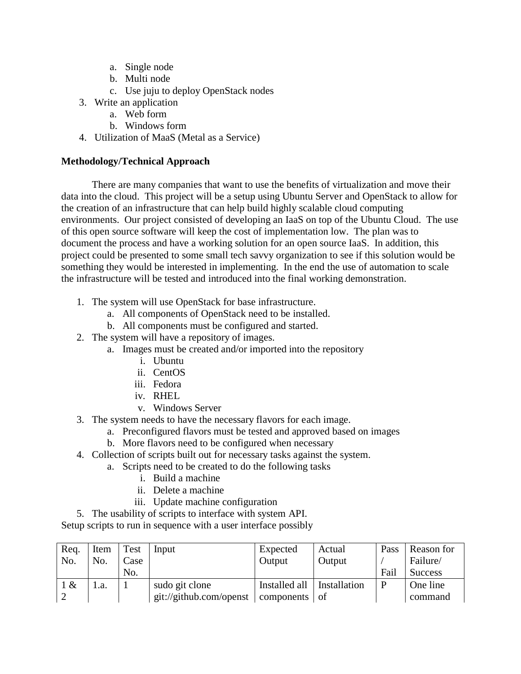- a. Single node
- b. Multi node
- c. Use juju to deploy OpenStack nodes
- 3. Write an application
	- a. Web form
	- b. Windows form
- 4. Utilization of MaaS (Metal as a Service)

## **Methodology/Technical Approach**

There are many companies that want to use the benefits of virtualization and move their data into the cloud. This project will be a setup using Ubuntu Server and OpenStack to allow for the creation of an infrastructure that can help build highly scalable cloud computing environments. Our project consisted of developing an IaaS on top of the Ubuntu Cloud. The use of this open source software will keep the cost of implementation low. The plan was to document the process and have a working solution for an open source IaaS. In addition, this project could be presented to some small tech savvy organization to see if this solution would be something they would be interested in implementing. In the end the use of automation to scale the infrastructure will be tested and introduced into the final working demonstration.

- 1. The system will use OpenStack for base infrastructure.
	- a. All components of OpenStack need to be installed.
	- b. All components must be configured and started.
- 2. The system will have a repository of images.
	- a. Images must be created and/or imported into the repository
		- i. Ubuntu
		- ii. CentOS
		- iii. Fedora
		- iv. RHEL
		- v. Windows Server
- 3. The system needs to have the necessary flavors for each image.
	- a. Preconfigured flavors must be tested and approved based on images
		- b. More flavors need to be configured when necessary
- 4. Collection of scripts built out for necessary tasks against the system.
	- a. Scripts need to be created to do the following tasks
		- i. Build a machine
		- ii. Delete a machine
		- iii. Update machine configuration
- 5. The usability of scripts to interface with system API.

Setup scripts to run in sequence with a user interface possibly

| Req. | Item         | Test | Input                   | Expected      | Actual       | Pass | Reason for     |
|------|--------------|------|-------------------------|---------------|--------------|------|----------------|
| No.  | No.          | Case |                         | Output        | Output       |      | Failure/       |
|      |              | No.  |                         |               |              | Fail | <b>Success</b> |
| 1 &  | $\mathbf{a}$ |      | sudo git clone          | Installed all | Installation | P    | One line       |
|      |              |      | git://github.com/openst | components of |              |      | command        |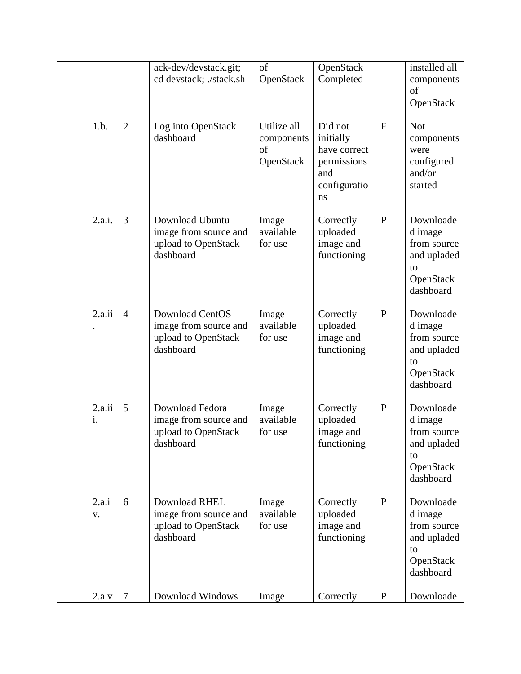|              |                | ack-dev/devstack.git;<br>cd devstack; ./stack.sh                                    | of<br>OpenStack                              | OpenStack<br>Completed                                                           |              | installed all<br>components<br>of<br>OpenStack                                     |
|--------------|----------------|-------------------------------------------------------------------------------------|----------------------------------------------|----------------------------------------------------------------------------------|--------------|------------------------------------------------------------------------------------|
| 1.b.         | $\overline{2}$ | Log into OpenStack<br>dashboard                                                     | Utilize all<br>components<br>of<br>OpenStack | Did not<br>initially<br>have correct<br>permissions<br>and<br>configuratio<br>ns | $\mathbf F$  | <b>Not</b><br>components<br>were<br>configured<br>and/or<br>started                |
| 2.a.i.       | 3              | Download Ubuntu<br>image from source and<br>upload to OpenStack<br>dashboard        | Image<br>available<br>for use                | Correctly<br>uploaded<br>image and<br>functioning                                | $\mathbf{P}$ | Downloade<br>d image<br>from source<br>and upladed<br>to<br>OpenStack<br>dashboard |
| 2.a.ii       | $\overline{4}$ | <b>Download CentOS</b><br>image from source and<br>upload to OpenStack<br>dashboard | Image<br>available<br>for use                | Correctly<br>uploaded<br>image and<br>functioning                                | $\mathbf{P}$ | Downloade<br>d image<br>from source<br>and upladed<br>to<br>OpenStack<br>dashboard |
| 2.a.ii<br>i. | 5              | Download Fedora<br>image from source and<br>upload to OpenStack<br>dashboard        | Image<br>available<br>for use                | Correctly<br>uploaded<br>image and<br>functioning                                | $\mathbf{P}$ | Downloade<br>d image<br>from source<br>and upladed<br>to<br>OpenStack<br>dashboard |
| 2.a.i<br>V.  | 6              | Download RHEL<br>image from source and<br>upload to OpenStack<br>dashboard          | Image<br>available<br>for use                | Correctly<br>uploaded<br>image and<br>functioning                                | $\mathbf{P}$ | Downloade<br>d image<br>from source<br>and upladed<br>to<br>OpenStack<br>dashboard |
| 2.a.v        | $\overline{7}$ | Download Windows                                                                    | Image                                        | Correctly                                                                        | $\mathbf P$  | Downloade                                                                          |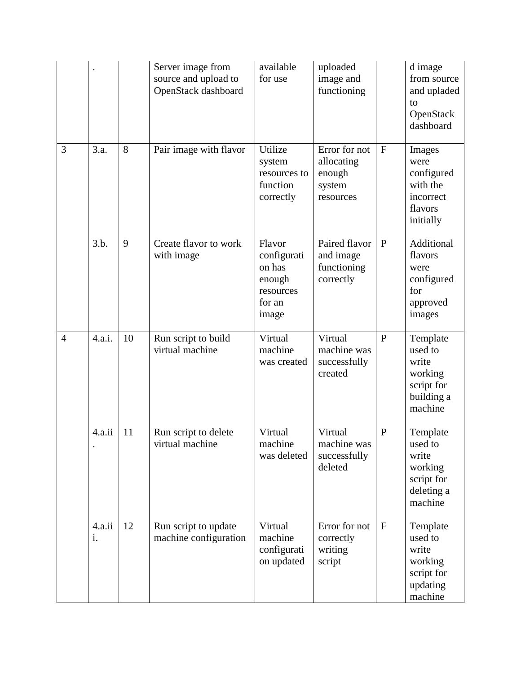|                |              |    | Server image from<br>source and upload to<br>OpenStack dashboard | available<br>for use                                                      | uploaded<br>image and<br>functioning                         |              | d image<br>from source<br>and upladed<br>to<br>OpenStack<br>dashboard          |
|----------------|--------------|----|------------------------------------------------------------------|---------------------------------------------------------------------------|--------------------------------------------------------------|--------------|--------------------------------------------------------------------------------|
| 3              | 3.a.         | 8  | Pair image with flavor                                           | Utilize<br>system<br>resources to<br>function<br>correctly                | Error for not<br>allocating<br>enough<br>system<br>resources | $\mathbf{F}$ | Images<br>were<br>configured<br>with the<br>incorrect<br>flavors<br>initially  |
|                | 3.b.         | 9  | Create flavor to work<br>with image                              | Flavor<br>configurati<br>on has<br>enough<br>resources<br>for an<br>image | Paired flavor<br>and image<br>functioning<br>correctly       | $\mathbf{P}$ | Additional<br>flavors<br>were<br>configured<br>for<br>approved<br>images       |
| $\overline{4}$ | 4.a.i.       | 10 | Run script to build<br>virtual machine                           | Virtual<br>machine<br>was created                                         | Virtual<br>machine was<br>successfully<br>created            | $\mathbf{P}$ | Template<br>used to<br>write<br>working<br>script for<br>building a<br>machine |
|                | 4.a.ii       | 11 | Run script to delete<br>virtual machine                          | Virtual<br>machine<br>was deleted                                         | Virtual<br>machine was<br>successfully<br>deleted            | $\mathbf P$  | Template<br>used to<br>write<br>working<br>script for<br>deleting a<br>machine |
|                | 4.a.ii<br>i. | 12 | Run script to update<br>machine configuration                    | Virtual<br>machine<br>configurati<br>on updated                           | Error for not<br>correctly<br>writing<br>script              | $\mathbf{F}$ | Template<br>used to<br>write<br>working<br>script for<br>updating<br>machine   |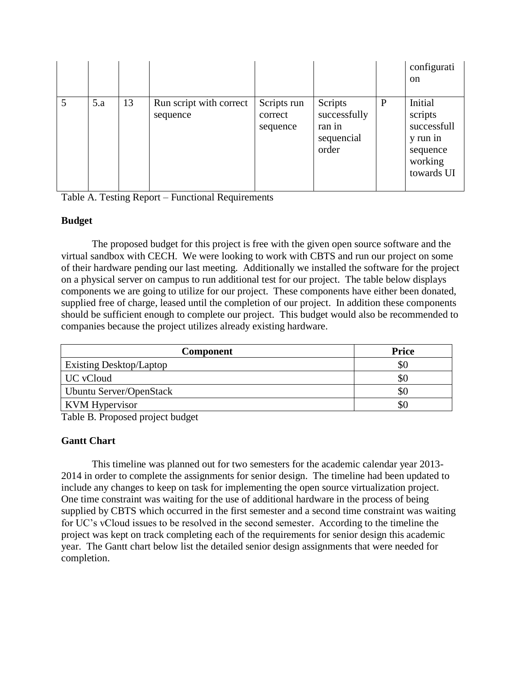|     |    |                                     |                                    |                                                          |              | configurati<br><sub>on</sub>                                                       |
|-----|----|-------------------------------------|------------------------------------|----------------------------------------------------------|--------------|------------------------------------------------------------------------------------|
| 5.a | 13 | Run script with correct<br>sequence | Scripts run<br>correct<br>sequence | Scripts<br>successfully<br>ran in<br>sequencial<br>order | $\mathbf{P}$ | Initial<br>scripts<br>successfull<br>y run in<br>sequence<br>working<br>towards UI |

Table A. Testing Report – Functional Requirements

# **Budget**

The proposed budget for this project is free with the given open source software and the virtual sandbox with CECH. We were looking to work with CBTS and run our project on some of their hardware pending our last meeting. Additionally we installed the software for the project on a physical server on campus to run additional test for our project. The table below displays components we are going to utilize for our project. These components have either been donated, supplied free of charge, leased until the completion of our project. In addition these components should be sufficient enough to complete our project. This budget would also be recommended to companies because the project utilizes already existing hardware.

| <b>Component</b>               | <b>Price</b> |
|--------------------------------|--------------|
| <b>Existing Desktop/Laptop</b> | \$0          |
| <b>UC</b> vCloud               | \$0          |
| Ubuntu Server/OpenStack        | SC           |
| KVM Hypervisor                 | SС           |

Table B. Proposed project budget

# **Gantt Chart**

This timeline was planned out for two semesters for the academic calendar year 2013- 2014 in order to complete the assignments for senior design. The timeline had been updated to include any changes to keep on task for implementing the open source virtualization project. One time constraint was waiting for the use of additional hardware in the process of being supplied by CBTS which occurred in the first semester and a second time constraint was waiting for UC's vCloud issues to be resolved in the second semester. According to the timeline the project was kept on track completing each of the requirements for senior design this academic year. The Gantt chart below list the detailed senior design assignments that were needed for completion.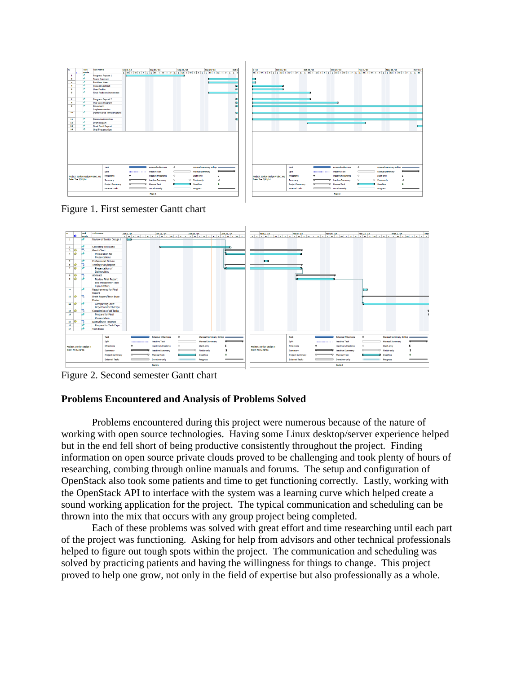|                |                                                        | Task                                             | <b>Task Name</b>          |                        |                           |                      |                       | Oct 6 |                                   |                        |                          |                           |                      |                          |    |
|----------------|--------------------------------------------------------|--------------------------------------------------|---------------------------|------------------------|---------------------------|----------------------|-----------------------|-------|-----------------------------------|------------------------|--------------------------|---------------------------|----------------------|--------------------------|----|
|                | l es                                                   | Mode                                             |                           |                        |                           |                      |                       |       |                                   |                        |                          |                           |                      |                          |    |
| $\mathbf{1}$   |                                                        | <b>Progress Report 1</b><br><b>Team Contract</b> |                           | ÷                      |                           |                      |                       |       |                                   |                        |                          |                           |                      |                          |    |
|                | $\mathbf{z}$<br><b>Problem Need</b><br>$\mathbf{B}$    |                                                  |                           |                        |                           |                      |                       |       |                                   |                        |                          |                           |                      |                          |    |
|                | $\overline{a}$                                         |                                                  | <b>Project Abstract</b>   |                        |                           |                      |                       |       |                                   |                        |                          |                           |                      |                          |    |
|                | -5                                                     |                                                  | <b>User Profile</b>       |                        |                           |                      |                       |       |                                   |                        |                          |                           |                      |                          |    |
|                | $\overline{6}$<br><b>Final Problem Statement</b>       |                                                  |                           |                        |                           |                      |                       |       |                                   |                        |                          |                           |                      |                          |    |
|                |                                                        |                                                  |                           |                        |                           |                      |                       |       |                                   |                        |                          |                           |                      |                          |    |
| $\overline{z}$ |                                                        |                                                  | <b>Progress Report 2</b>  |                        |                           |                      |                       | е     |                                   |                        |                          |                           |                      |                          |    |
| $\bullet$      |                                                        |                                                  | <b>Use Case Diagram</b>   |                        |                           |                      |                       |       |                                   |                        |                          |                           |                      |                          |    |
| $\bullet$      |                                                        |                                                  | Document                  |                        |                           |                      |                       |       |                                   |                        |                          |                           |                      |                          |    |
|                |                                                        |                                                  | Implementation            |                        |                           |                      |                       |       |                                   |                        |                          |                           |                      |                          |    |
| 10             |                                                        |                                                  | Demo Cloud Infrastructure |                        |                           |                      |                       |       |                                   |                        |                          |                           |                      |                          |    |
|                |                                                        |                                                  |                           |                        |                           |                      |                       |       |                                   |                        |                          |                           |                      |                          |    |
| 11             |                                                        |                                                  | <b>Demo Automation</b>    |                        |                           |                      |                       |       |                                   |                        |                          |                           |                      |                          |    |
| 12             |                                                        |                                                  | <b>Draft Report</b>       |                        |                           |                      |                       |       |                                   |                        |                          |                           |                      |                          |    |
| 13             |                                                        |                                                  | <b>Final Draft Report</b> |                        |                           |                      |                       |       |                                   |                        |                          |                           |                      |                          | c. |
| 14             |                                                        |                                                  | <b>Oral Presentation</b>  |                        |                           |                      |                       |       |                                   |                        |                          |                           |                      |                          |    |
|                |                                                        |                                                  |                           |                        |                           |                      |                       |       |                                   |                        |                          |                           |                      |                          |    |
|                |                                                        |                                                  |                           |                        |                           |                      |                       |       |                                   |                        |                          |                           |                      |                          |    |
|                |                                                        |                                                  |                           |                        |                           |                      |                       |       |                                   |                        |                          |                           |                      |                          |    |
|                |                                                        |                                                  |                           |                        |                           |                      |                       |       |                                   |                        |                          |                           |                      |                          |    |
|                |                                                        |                                                  |                           |                        |                           |                      |                       |       |                                   |                        |                          |                           |                      |                          |    |
|                |                                                        |                                                  |                           |                        |                           |                      |                       |       |                                   |                        |                          |                           |                      |                          |    |
|                |                                                        |                                                  |                           |                        |                           |                      |                       |       |                                   |                        |                          |                           |                      |                          |    |
|                |                                                        |                                                  |                           |                        |                           |                      |                       |       |                                   |                        |                          |                           |                      |                          |    |
|                |                                                        |                                                  |                           |                        |                           |                      |                       |       |                                   |                        |                          |                           |                      |                          |    |
|                |                                                        |                                                  | Task                      |                        | <b>External Milestone</b> | $\ddot{\phantom{1}}$ | Manual Summary Rollup |       |                                   | Task                   | $\overline{\phantom{a}}$ | <b>External Milestone</b> | $\ddot{\phantom{1}}$ | Manual Summary Rollup co |    |
|                |                                                        |                                                  | Split                     |                        | <b>Inactive Task</b>      |                      | Manual Summary        |       |                                   | Split                  |                          | Inactive Task             |                      | <b>Manual Summary</b>    |    |
|                |                                                        |                                                  |                           |                        |                           |                      |                       |       |                                   |                        |                          |                           |                      |                          |    |
|                | Project: Senior Design Project.mp<br>Date: Tue 3/11/14 |                                                  |                           | Milestone              | <b>Inactive Milestone</b> | $\circ$              | Start-only            |       | Project: Senior Design Project.mp | Milestone              |                          | Inactive Milestone        | $\Diamond$           | Start-only               |    |
|                |                                                        |                                                  |                           | Summary                | Inactive Summary          |                      | Finish-only           |       | Date: Tue 3/11/14                 | Summary                |                          | Inactive Summary          | $\overline{a}$<br>n  | Finish-only              |    |
|                |                                                        |                                                  |                           | <b>Project Summary</b> | <b>Manual Task</b>        |                      | Deadine               |       |                                   | <b>Project Summary</b> |                          | <b>Manual Task</b>        |                      | Deadine                  |    |
|                |                                                        |                                                  |                           | <b>External Tasks</b>  | Duration-only             |                      | Progress              |       |                                   | <b>External Tasks</b>  |                          | Duration only             |                      | Progress                 |    |
|                |                                                        |                                                  |                           |                        |                           |                      |                       |       |                                   |                        |                          |                           |                      |                          |    |
|                |                                                        |                                                  |                           |                        | Page 1                    |                      |                       |       |                                   |                        |                          | Page 2                    |                      |                          |    |

Figure 1. First semester Gantt chart



Figure 2. Second semester Gantt chart

## **Problems Encountered and Analysis of Problems Solved**

Problems encountered during this project were numerous because of the nature of working with open source technologies. Having some Linux desktop/server experience helped but in the end fell short of being productive consistently throughout the project. Finding information on open source private clouds proved to be challenging and took plenty of hours of researching, combing through online manuals and forums. The setup and configuration of OpenStack also took some patients and time to get functioning correctly. Lastly, working with the OpenStack API to interface with the system was a learning curve which helped create a sound working application for the project. The typical communication and scheduling can be thrown into the mix that occurs with any group project being completed.

Each of these problems was solved with great effort and time researching until each part of the project was functioning. Asking for help from advisors and other technical professionals helped to figure out tough spots within the project. The communication and scheduling was solved by practicing patients and having the willingness for things to change. This project proved to help one grow, not only in the field of expertise but also professionally as a whole.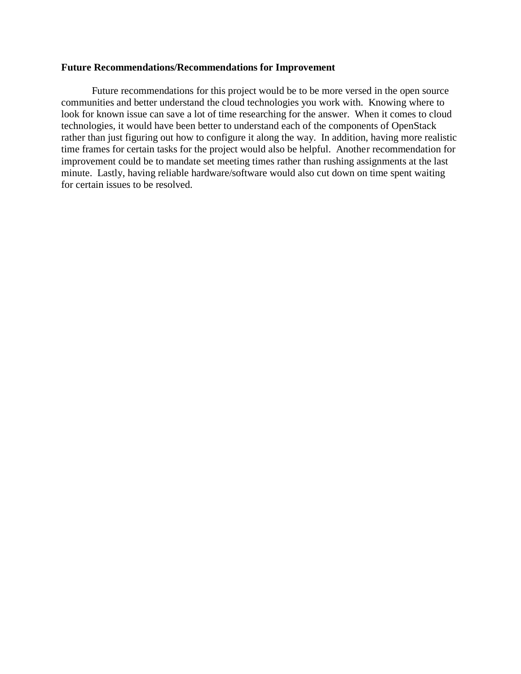### **Future Recommendations/Recommendations for Improvement**

Future recommendations for this project would be to be more versed in the open source communities and better understand the cloud technologies you work with. Knowing where to look for known issue can save a lot of time researching for the answer. When it comes to cloud technologies, it would have been better to understand each of the components of OpenStack rather than just figuring out how to configure it along the way. In addition, having more realistic time frames for certain tasks for the project would also be helpful. Another recommendation for improvement could be to mandate set meeting times rather than rushing assignments at the last minute. Lastly, having reliable hardware/software would also cut down on time spent waiting for certain issues to be resolved.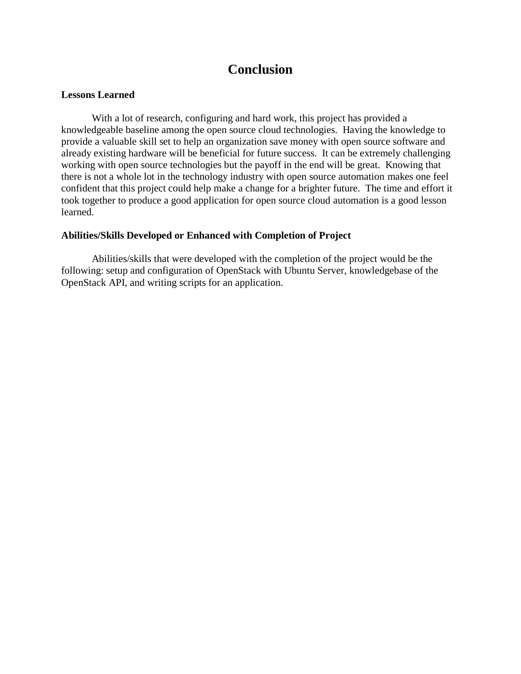# **Conclusion**

## **Lessons Learned**

With a lot of research, configuring and hard work, this project has provided a knowledgeable baseline among the open source cloud technologies. Having the knowledge to provide a valuable skill set to help an organization save money with open source software and already existing hardware will be beneficial for future success. It can be extremely challenging working with open source technologies but the payoff in the end will be great. Knowing that there is not a whole lot in the technology industry with open source automation makes one feel confident that this project could help make a change for a brighter future. The time and effort it took together to produce a good application for open source cloud automation is a good lesson learned.

## **Abilities/Skills Developed or Enhanced with Completion of Project**

Abilities/skills that were developed with the completion of the project would be the following: setup and configuration of OpenStack with Ubuntu Server, knowledgebase of the OpenStack API, and writing scripts for an application.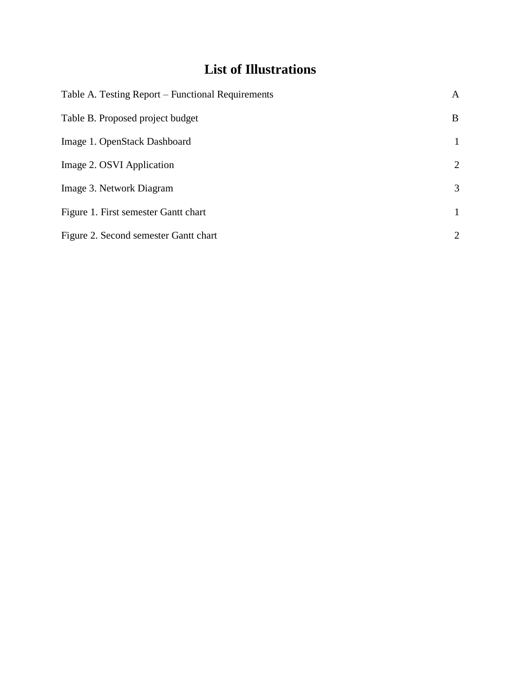# **List of Illustrations**

| Table A. Testing Report – Functional Requirements | A              |
|---------------------------------------------------|----------------|
| Table B. Proposed project budget                  | B              |
| Image 1. OpenStack Dashboard                      | $\mathbf{1}$   |
| Image 2. OSVI Application                         | $\overline{2}$ |
| Image 3. Network Diagram                          | 3              |
| Figure 1. First semester Gantt chart              | 1              |
| Figure 2. Second semester Gantt chart             | $\overline{2}$ |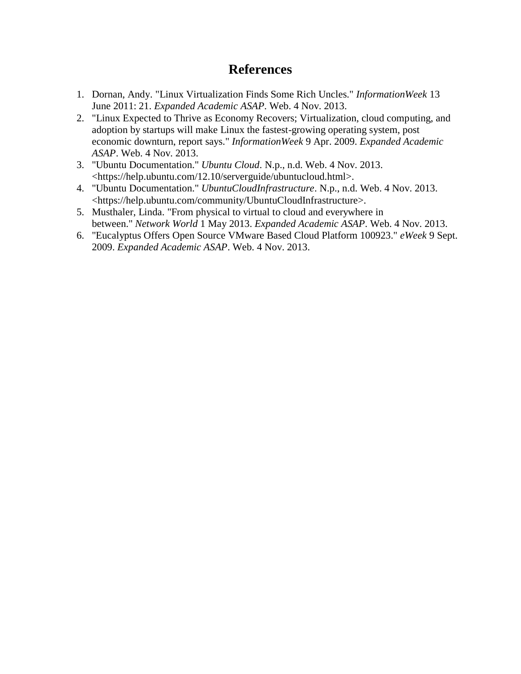# **References**

- 1. Dornan, Andy. "Linux Virtualization Finds Some Rich Uncles." *InformationWeek* 13 June 2011: 21. *Expanded Academic ASAP*. Web. 4 Nov. 2013.
- 2. "Linux Expected to Thrive as Economy Recovers; Virtualization, cloud computing, and adoption by startups will make Linux the fastest-growing operating system, post economic downturn, report says." *InformationWeek* 9 Apr. 2009. *Expanded Academic ASAP*. Web. 4 Nov. 2013.
- 3. "Ubuntu Documentation." *Ubuntu Cloud*. N.p., n.d. Web. 4 Nov. 2013. <https://help.ubuntu.com/12.10/serverguide/ubuntucloud.html>.
- 4. "Ubuntu Documentation." *UbuntuCloudInfrastructure*. N.p., n.d. Web. 4 Nov. 2013. <https://help.ubuntu.com/community/UbuntuCloudInfrastructure>.
- 5. Musthaler, Linda. "From physical to virtual to cloud and everywhere in between." *Network World* 1 May 2013. *Expanded Academic ASAP*. Web. 4 Nov. 2013.
- 6. "Eucalyptus Offers Open Source VMware Based Cloud Platform 100923." *eWeek* 9 Sept. 2009. *Expanded Academic ASAP*. Web. 4 Nov. 2013.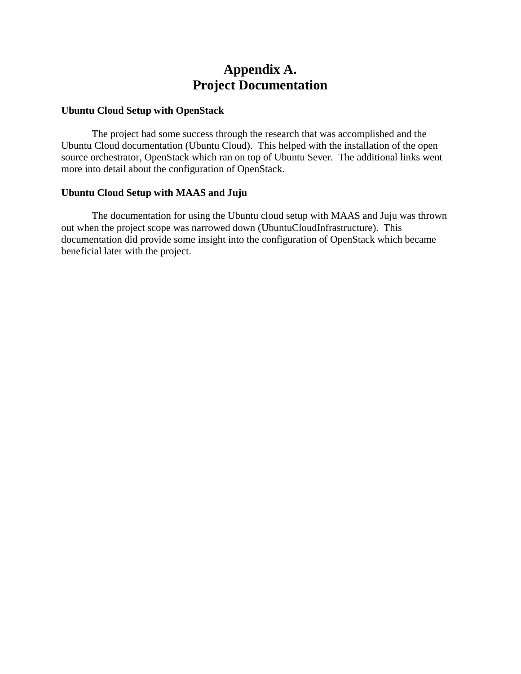# **Appendix A. Project Documentation**

## **Ubuntu Cloud Setup with OpenStack**

The project had some success through the research that was accomplished and the Ubuntu Cloud documentation (Ubuntu Cloud). This helped with the installation of the open source orchestrator, OpenStack which ran on top of Ubuntu Sever. The additional links went more into detail about the configuration of OpenStack.

## **Ubuntu Cloud Setup with MAAS and Juju**

The documentation for using the Ubuntu cloud setup with MAAS and Juju was thrown out when the project scope was narrowed down (UbuntuCloudInfrastructure). This documentation did provide some insight into the configuration of OpenStack which became beneficial later with the project.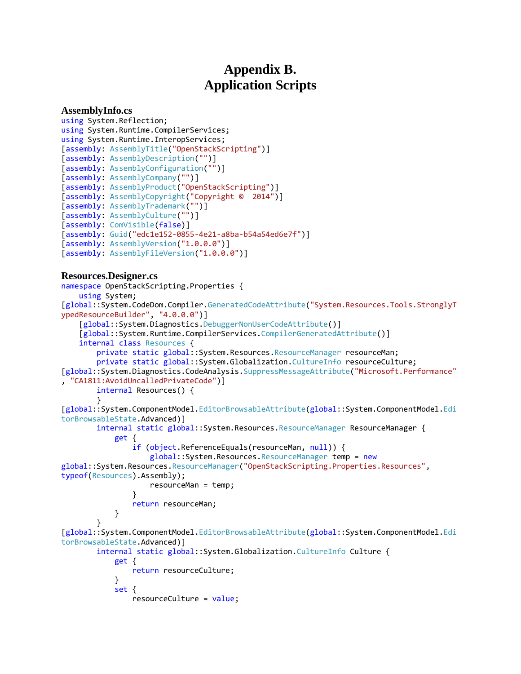# **Appendix B. Application Scripts**

#### **AssemblyInfo.cs**

```
using System.Reflection;
using System.Runtime.CompilerServices;
using System.Runtime.InteropServices;
[assembly: AssemblyTitle("OpenStackScripting")]
[assembly: AssemblyDescription("")]
[assembly: AssemblyConfiguration("")]
[assembly: AssemblyCompany("")]
[assembly: AssemblyProduct("OpenStackScripting")]
[assembly: AssemblyCopyright("Copyright © 2014")]
[assembly: AssemblyTrademark("")]
[assembly: AssemblyCulture("")]
[assembly: ComVisible(false)]
[assembly: Guid("edc1e152-0855-4e21-a8ba-b54a54ed6e7f")]
[assembly: AssemblyVersion("1.0.0.0")]
[assembly: AssemblyFileVersion("1.0.0.0")]
```
### **Resources.Designer.cs**

```
namespace OpenStackScripting.Properties {
     using System;
[global::System.CodeDom.Compiler.GeneratedCodeAttribute("System.Resources.Tools.StronglyT
ypedResourceBuilder", "4.0.0.0")]
     [global::System.Diagnostics.DebuggerNonUserCodeAttribute()]
     [global::System.Runtime.CompilerServices.CompilerGeneratedAttribute()]
     internal class Resources {
         private static global::System.Resources.ResourceManager resourceMan;
         private static global::System.Globalization.CultureInfo resourceCulture;
[global::System.Diagnostics.CodeAnalysis.SuppressMessageAttribute("Microsoft.Performance"
, "CA1811:AvoidUncalledPrivateCode")]
         internal Resources() {
         }
[global::System.ComponentModel.EditorBrowsableAttribute(global::System.ComponentModel.Edi
torBrowsableState.Advanced)]
         internal static global::System.Resources.ResourceManager ResourceManager {
             get {
                 if (object.ReferenceEquals(resourceMan, null)) {
                    global::System.Resources.ResourceManager temp = new
global::System.Resources.ResourceManager("OpenStackScripting.Properties.Resources", 
typeof(Resources).Assembly);
                    resourceMan = temp;
 }
                return resourceMan;
 }
 }
[global::System.ComponentModel.EditorBrowsableAttribute(global::System.ComponentModel.Edi
torBrowsableState.Advanced)]
        internal static global::System.Globalization.CultureInfo Culture {
             get {
                return resourceCulture;
 }
             set {
                 resourceCulture = value;
```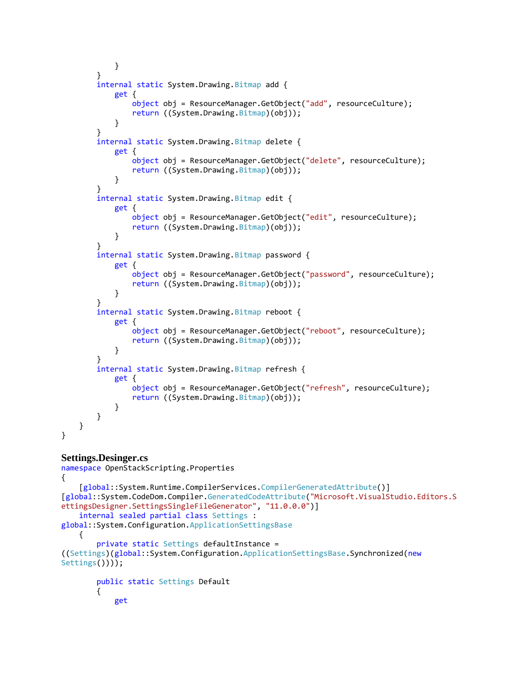```
 }
        }
        internal static System.Drawing.Bitmap add {
            get {
                object obj = ResourceManager.GetObject("add", resourceCulture);
                return ((System.Drawing.Bitmap)(obj));
 }
        }
       internal static System.Drawing.Bitmap delete {
            get {
                object obj = ResourceManager.GetObject("delete", resourceCulture);
           return ((System.Drawing.Bitmap)(obj));<br>}
 }
        }
       internal static System.Drawing.Bitmap edit {
            get {
                object obj = ResourceManager.GetObject("edit", resourceCulture);
                return ((System.Drawing.Bitmap)(obj));
 }
        }
        internal static System.Drawing.Bitmap password {
            get {
                object obj = ResourceManager.GetObject("password", resourceCulture);
               return ((System.Drawing.Bitmap)(obj));
 }
        }
       internal static System.Drawing.Bitmap reboot {
            get {
                object obj = ResourceManager.GetObject("reboot", resourceCulture);
                return ((System.Drawing.Bitmap)(obj));
 }
        }
        internal static System.Drawing.Bitmap refresh {
            get {
                object obj = ResourceManager.GetObject("refresh", resourceCulture);
                return ((System.Drawing.Bitmap)(obj));
 }
        }
    }
```
### **Settings.Desinger.cs** namespace OpenStackScripting.Properties

}

```
{
     [global::System.Runtime.CompilerServices.CompilerGeneratedAttribute()]
[global::System.CodeDom.Compiler.GeneratedCodeAttribute("Microsoft.VisualStudio.Editors.S
ettingsDesigner.SettingsSingleFileGenerator", "11.0.0.0")]
     internal sealed partial class Settings : 
global::System.Configuration.ApplicationSettingsBase
    \mathfrak{t} private static Settings defaultInstance = 
((Settings)(global::System.Configuration.ApplicationSettingsBase.Synchronized(new
Settings())));
         public static Settings Default
         {
             get
```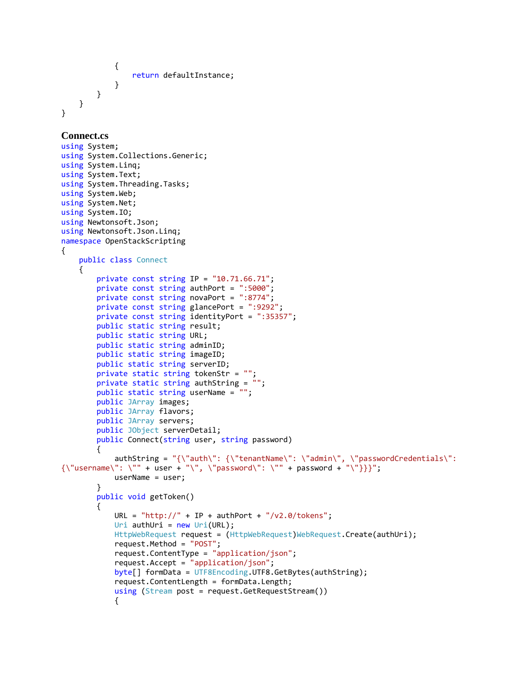```
\{ return defaultInstance;
 }
        }
    }
}
Connect.cs
using System;
using System.Collections.Generic;
using System.Linq;
using System.Text;
using System.Threading.Tasks;
using System.Web;
using System.Net;
using System.IO;
using Newtonsoft.Json;
using Newtonsoft.Json.Linq;
namespace OpenStackScripting
{
     public class Connect
     {
         private const string IP = "10.71.66.71";
         private const string authPort = ":5000";
         private const string novaPort = ":8774";
         private const string glancePort = ":9292";
         private const string identityPort = ":35357";
         public static string result;
         public static string URL;
         public static string adminID;
         public static string imageID;
         public static string serverID;
         private static string tokenStr = "";
         private static string authString = "";
         public static string userName = "";
         public JArray images;
         public JArray flavors;
         public JArray servers;
         public JObject serverDetail;
        public Connect(string user, string password)
         {
             authString = "{\"auth\": {\"tenantName\": \"admin\", \"passwordCredentials\": 
{\Upsilon}"username\": \"" + user + "\", \"password\": \"" + password + "\"}}}";
             userName = user; 
         }
         public void getToken()
         {
            URL = "http://" + IP + author't +"/v2.0/tokens";Uri authUri = new Uri(URL);
            HttpWebRequest request = (HttpWebRequest)WebRequest.Create(authUri);
             request.Method = "POST";
             request.ContentType = "application/json";
             request.Accept = "application/json";
             byte[] formData = UTF8Encoding.UTF8.GetBytes(authString);
             request.ContentLength = formData.Length;
             using (Stream post = request.GetRequestStream())
\{
```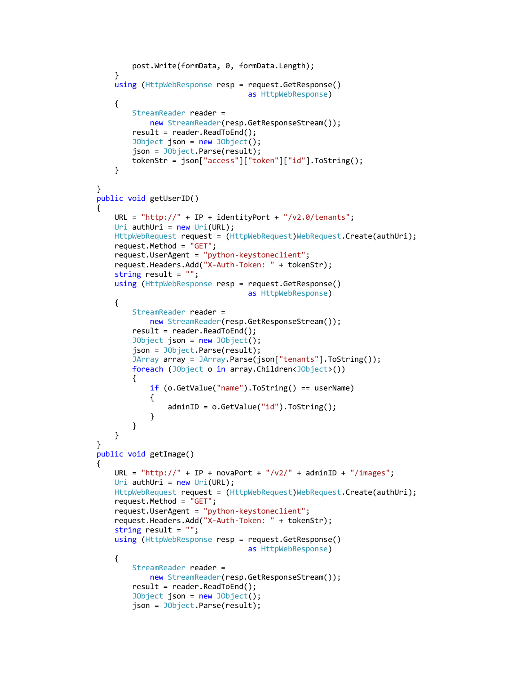```
 post.Write(formData, 0, formData.Length);
 }
            using (HttpWebResponse resp = request.GetResponse()
                                         as HttpWebResponse)
\{StreamReader reader =
                    new StreamReader(resp.GetResponseStream());
                result = reader.ReadToEnd();
                JObject json = new JObject();
                json = JObject.Parse(result);
                tokenStr = json["access"]["token"]["id"].ToString();
 }
        }
        public void getUserID()
\overline{\mathcal{L}}URL = "http://" + IP + identityPort + "/v2.0/tenants";
           Uri authUri = new Uri(URL);
           HttpWebRequest request = (HttpWebRequest)WebRequest.Create(authUri);
            request.Method = "GET";
            request.UserAgent = "python-keystoneclient";
            request.Headers.Add("X-Auth-Token: " + tokenStr);
           string result = "";
            using (HttpWebResponse resp = request.GetResponse()
                                         as HttpWebResponse)
\{ StreamReader reader =
                    new StreamReader(resp.GetResponseStream());
                result = reader.ReadToEnd();
                JObject json = new JObject();
                json = JObject.Parse(result);
               JArray array = JArray.Parse(json["tenants"].ToString());
                foreach (JObject o in array.Children<JObject>())
\overline{a} if (o.GetValue("name").ToString() == userName)
\{ adminID = o.GetValue("id").ToString();
 }
 }
 }
        }
        public void getImage()
        {
           URL = "http://" + IP + novaPort + "/v2/" + adminID + "/images";
           Uri authUri = new Uri(URL);
           HttpWebRequest request = (HttpWebRequest)WebRequest.Create(authUri);
            request.Method = "GET";
            request.UserAgent = "python-keystoneclient";
            request.Headers.Add("X-Auth-Token: " + tokenStr);
            string result = "";
            using (HttpWebResponse resp = request.GetResponse()
                                         as HttpWebResponse)
\{ StreamReader reader =
                    new StreamReader(resp.GetResponseStream());
                result = reader.ReadToEnd();
                JObject json = new JObject();
                json = JObject.Parse(result);
```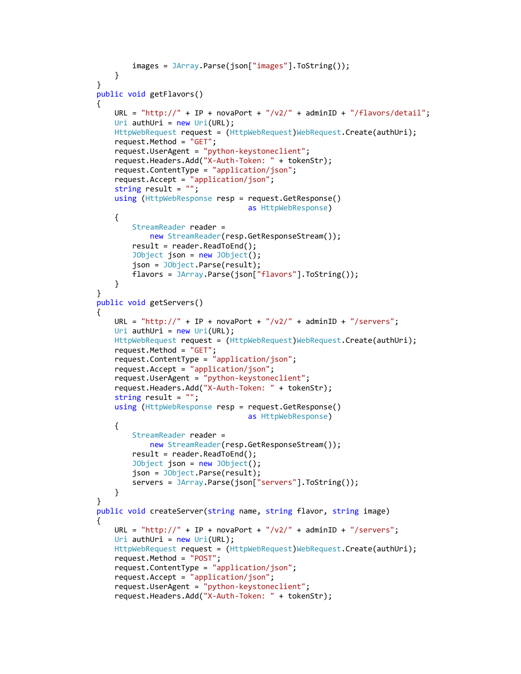```
 images = JArray.Parse(json["images"].ToString());
 }
        }
        public void getFlavors()
\overline{\mathcal{L}}URL = "http://" + IP + novaPort +"/v2/" + adminID +"/flavors/detail";Uri authUri = new Uri(URL);
           HttpWebRequest request = (HttpWebRequest)WebRequest.Create(authUri);
            request.Method = "GET";
            request.UserAgent = "python-keystoneclient";
            request.Headers.Add("X-Auth-Token: " + tokenStr);
            request.ContentType = "application/json";
            request.Accept = "application/json";
            string result = "";
            using (HttpWebResponse resp = request.GetResponse()
                                           as HttpWebResponse)
\{ StreamReader reader =
                     new StreamReader(resp.GetResponseStream());
                 result = reader.ReadToEnd();
                 JObject json = new JObject();
                 json = JObject.Parse(result);
                flavors = JArray.Parse(json["flavors"].ToString());
 }
        }
        public void getServers()
        {
           URL = "http://" + IP + novaPort + "/v2/" + adminID + "/servers";
           Uri authUri = new Uri(URL);
           HttpWebRequest request = (HttpWebRequest)WebRequest.Create(authUri);
            request.Method = "GET";
            request.ContentType = "application/json";
            request.Accept = "application/json";
            request.UserAgent = "python-keystoneclient";
            request.Headers.Add("X-Auth-Token: " + tokenStr);
            string result = "";
            using (HttpWebResponse resp = request.GetResponse()
                                           as HttpWebResponse)
\{ StreamReader reader =
                     new StreamReader(resp.GetResponseStream());
                result = reader.ReadToEnd();
                 JObject json = new JObject();
                 json = JObject.Parse(result);
                 servers = JArray.Parse(json["servers"].ToString()); 
 }
        }
       public void createServer(string name, string flavor, string image)
        {
           URL = "http://" + IP + novaPort + "/v2/" + adminID + "/servers";
           Uri authUri = new Uri(URL);
            HttpWebRequest request = (HttpWebRequest)WebRequest.Create(authUri);
            request.Method = "POST";
            request.ContentType = "application/json";
            request.Accept = "application/json";
            request.UserAgent = "python-keystoneclient";
            request.Headers.Add("X-Auth-Token: " + tokenStr);
```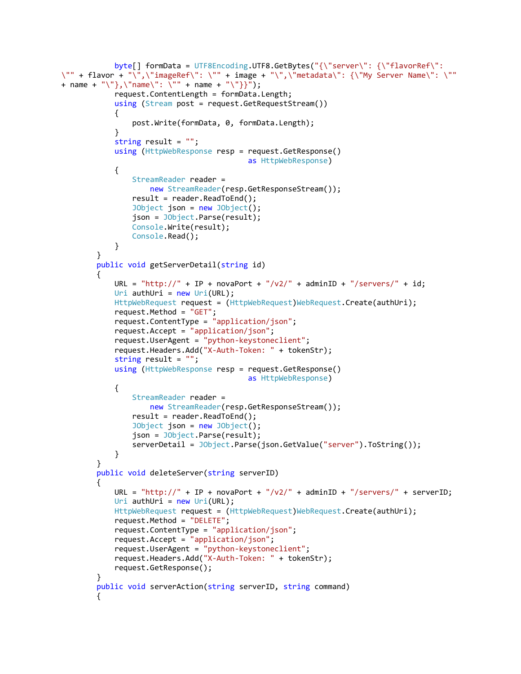```
 byte[] formData = UTF8Encoding.UTF8.GetBytes("{\"server\": {\"flavorRef\": 
\"" + flavor + "\",\"imageRef\": \"" + image + "\",\"metadata\": {\"My Server Name\": \""
+ name + "\"},\"name\": \"" + name + "\"}}");
             request.ContentLength = formData.Length;
             using (Stream post = request.GetRequestStream())
\{ post.Write(formData, 0, formData.Length);
 }
             string result = "";
             using (HttpWebResponse resp = request.GetResponse()
                                           as HttpWebResponse)
\{ StreamReader reader =
                     new StreamReader(resp.GetResponseStream());
                 result = reader.ReadToEnd();
                 JObject json = new JObject();
                 json = JObject.Parse(result);
                 Console.Write(result);
                 Console.Read();
 }
         }
         public void getServerDetail(string id)
         {
            URL = "http://" + IP + novaPort + "/v2/" + adminID + "/servers/" + id;
             Uri authUri = new Uri(URL);
            HttpWebRequest request = (HttpWebRequest)WebRequest.Create(authUri);
             request.Method = "GET";
             request.ContentType = "application/json";
             request.Accept = "application/json";
             request.UserAgent = "python-keystoneclient";
             request.Headers.Add("X-Auth-Token: " + tokenStr);
             string result = "";
             using (HttpWebResponse resp = request.GetResponse()
                                           as HttpWebResponse)
\{ StreamReader reader =
                     new StreamReader(resp.GetResponseStream());
                 result = reader.ReadToEnd();
                 JObject json = new JObject();
                 json = JObject.Parse(result);
                 serverDetail = JObject.Parse(json.GetValue("server").ToString());
 }
         }
         public void deleteServer(string serverID)
\overline{\mathcal{L}}URL = "http://" + IP + novaPort + "/v2/" + adminID + "/servers/" + serverID;
            Uri authUri = new Uri(URL);
            HttpWebRequest request = (HttpWebRequest)WebRequest.Create(authUri);
             request.Method = "DELETE";
             request.ContentType = "application/json";
             request.Accept = "application/json";
             request.UserAgent = "python-keystoneclient";
             request.Headers.Add("X-Auth-Token: " + tokenStr);
             request.GetResponse();
 }
         public void serverAction(string serverID, string command)
\overline{\mathcal{L}}
```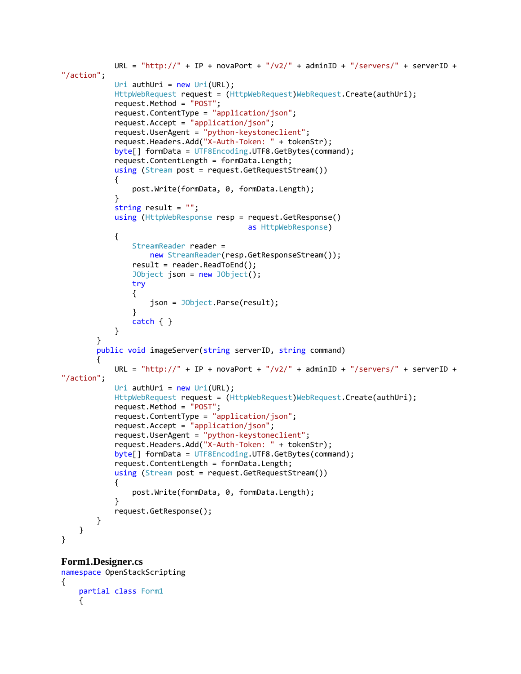```
URL = "http://" + IP + novaPort + "/v2/" + adminID + "/servers/" + serverID +
"/action";
           Uri authUri = new Uri(URL);
           HttpWebRequest request = (HttpWebRequest)WebRequest.Create(authUri);
            request.Method = "POST";
            request.ContentType = "application/json";
            request.Accept = "application/json";
            request.UserAgent = "python-keystoneclient";
            request.Headers.Add("X-Auth-Token: " + tokenStr);
            byte[] formData = UTF8Encoding.UTF8.GetBytes(command);
            request.ContentLength = formData.Length;
            using (Stream post = request.GetRequestStream())
\{ post.Write(formData, 0, formData.Length);
 }
            string result = "";
            using (HttpWebResponse resp = request.GetResponse()
                                          as HttpWebResponse)
\{ StreamReader reader =
                    new StreamReader(resp.GetResponseStream());
                result = reader.ReadToEnd();
                JObject json = new JObject();
                try
\{ json = JObject.Parse(result);
 }
                catch { }
 }
        }
        public void imageServer(string serverID, string command)
        {
           URL = "http://" + IP + novaPort + "/v2/" + adminID + "/servers/" + serverID +
"/action";
           Uri authUri = new Uri(URL);
           HttpWebRequest request = (HttpWebRequest)WebRequest.Create(authUri);
            request.Method = "POST";
            request.ContentType = "application/json";
            request.Accept = "application/json";
            request.UserAgent = "python-keystoneclient";
            request.Headers.Add("X-Auth-Token: " + tokenStr);
            byte[] formData = UTF8Encoding.UTF8.GetBytes(command);
            request.ContentLength = formData.Length;
            using (Stream post = request.GetRequestStream())
\{ post.Write(formData, 0, formData.Length);
 }
            request.GetResponse();
        }
    }
}
```
#### **Form1.Designer.cs**

```
namespace OpenStackScripting
{
     partial class Form1
\{ \{ \}
```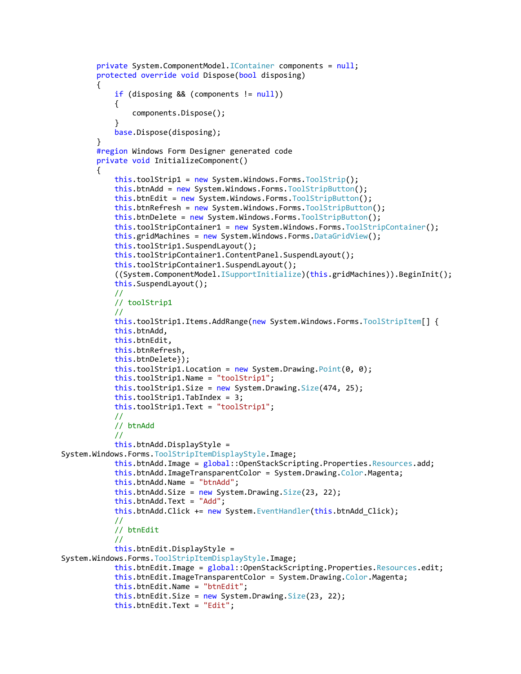```
 private System.ComponentModel.IContainer components = null;
         protected override void Dispose(bool disposing)
\overline{\mathcal{L}} if (disposing && (components != null))
\{ components.Dispose();
 }
             base.Dispose(disposing);
         }
         #region Windows Form Designer generated code
         private void InitializeComponent()
         {
             this.toolStrip1 = new System.Windows.Forms.ToolStrip();
             this.btnAdd = new System.Windows.Forms.ToolStripButton();
             this.btnEdit = new System.Windows.Forms.ToolStripButton();
             this.btnRefresh = new System.Windows.Forms.ToolStripButton();
             this.btnDelete = new System.Windows.Forms.ToolStripButton();
             this.toolStripContainer1 = new System.Windows.Forms.ToolStripContainer();
            this.gridMachines = new System.Windows.Forms.DataGridView();
             this.toolStrip1.SuspendLayout();
             this.toolStripContainer1.ContentPanel.SuspendLayout();
             this.toolStripContainer1.SuspendLayout();
             ((System.ComponentModel.ISupportInitialize)(this.gridMachines)).BeginInit();
             this.SuspendLayout();
             // 
             // toolStrip1
             // 
             this.toolStrip1.Items.AddRange(new System.Windows.Forms.ToolStripItem[] {
             this.btnAdd,
             this.btnEdit,
             this.btnRefresh,
             this.btnDelete});
             this.toolStrip1.Location = new System.Drawing.Point(0, 0);
             this.toolStrip1.Name = "toolStrip1";
             this.toolStrip1.Size = new System.Drawing.Size(474, 25);
             this.toolStrip1.TabIndex = 3;
             this.toolStrip1.Text = "toolStrip1";
             // 
             // btnAdd
             //
             this.btnAdd.DisplayStyle = 
System.Windows.Forms.ToolStripItemDisplayStyle.Image;
             this.btnAdd.Image = global::OpenStackScripting.Properties.Resources.add;
             this.btnAdd.ImageTransparentColor = System.Drawing.Color.Magenta;
             this.btnAdd.Name = "btnAdd";
             this.btnAdd.Size = new System.Drawing.Size(23, 22);
             this.btnAdd.Text = "Add";
             this.btnAdd.Click += new System.EventHandler(this.btnAdd_Click);
             // 
             // btnEdit
             // 
             this.btnEdit.DisplayStyle = 
System.Windows.Forms.ToolStripItemDisplayStyle.Image;
             this.btnEdit.Image = global::OpenStackScripting.Properties.Resources.edit;
             this.btnEdit.ImageTransparentColor = System.Drawing.Color.Magenta;
             this.btnEdit.Name = "btnEdit";
             this.btnEdit.Size = new System.Drawing.Size(23, 22);
             this.btnEdit.Text = "Edit";
```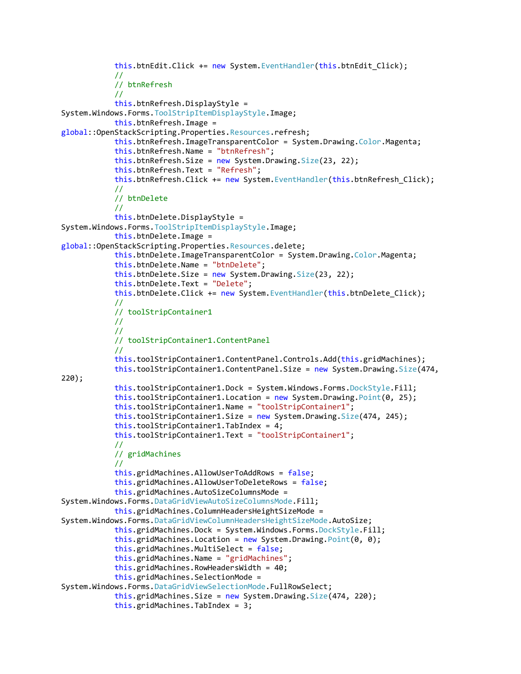```
this.btnEdit.Click += new System.EventHandler(this.btnEdit Click);
             // 
             // btnRefresh
             // 
             this.btnRefresh.DisplayStyle = 
System.Windows.Forms.ToolStripItemDisplayStyle.Image;
             this.btnRefresh.Image = 
global::OpenStackScripting.Properties.Resources.refresh;
             this.btnRefresh.ImageTransparentColor = System.Drawing.Color.Magenta;
             this.btnRefresh.Name = "btnRefresh";
             this.btnRefresh.Size = new System.Drawing.Size(23, 22);
             this.btnRefresh.Text = "Refresh";
            this.btnRefresh.Click += new System.EventHandler(this.btnRefresh Click);
             // 
             // btnDelete
             // 
             this.btnDelete.DisplayStyle = 
System.Windows.Forms.ToolStripItemDisplayStyle.Image;
             this.btnDelete.Image = 
global::OpenStackScripting.Properties.Resources.delete;
             this.btnDelete.ImageTransparentColor = System.Drawing.Color.Magenta;
             this.btnDelete.Name = "btnDelete";
             this.btnDelete.Size = new System.Drawing.Size(23, 22);
             this.btnDelete.Text = "Delete";
             this.btnDelete.Click += new System.EventHandler(this.btnDelete_Click);
             // 
             // toolStripContainer1
             // 
             // 
             // toolStripContainer1.ContentPanel
             // 
             this.toolStripContainer1.ContentPanel.Controls.Add(this.gridMachines);
             this.toolStripContainer1.ContentPanel.Size = new System.Drawing.Size(474, 
220);
             this.toolStripContainer1.Dock = System.Windows.Forms.DockStyle.Fill;
             this.toolStripContainer1.Location = new System.Drawing.Point(0, 25);
             this.toolStripContainer1.Name = "toolStripContainer1";
             this.toolStripContainer1.Size = new System.Drawing.Size(474, 245);
             this.toolStripContainer1.TabIndex = 4;
             this.toolStripContainer1.Text = "toolStripContainer1";
             // 
             // gridMachines
             // 
             this.gridMachines.AllowUserToAddRows = false;
             this.gridMachines.AllowUserToDeleteRows = false;
             this.gridMachines.AutoSizeColumnsMode = 
System.Windows.Forms.DataGridViewAutoSizeColumnsMode.Fill;
             this.gridMachines.ColumnHeadersHeightSizeMode = 
System.Windows.Forms.DataGridViewColumnHeadersHeightSizeMode.AutoSize;
             this.gridMachines.Dock = System.Windows.Forms.DockStyle.Fill;
            this.gridMachines.Location = new System.Drawing.Point(0, 0); this.gridMachines.MultiSelect = false;
             this.gridMachines.Name = "gridMachines";
             this.gridMachines.RowHeadersWidth = 40;
             this.gridMachines.SelectionMode = 
System.Windows.Forms.DataGridViewSelectionMode.FullRowSelect;
             this.gridMachines.Size = new System.Drawing.Size(474, 220);
             this.gridMachines.TabIndex = 3;
```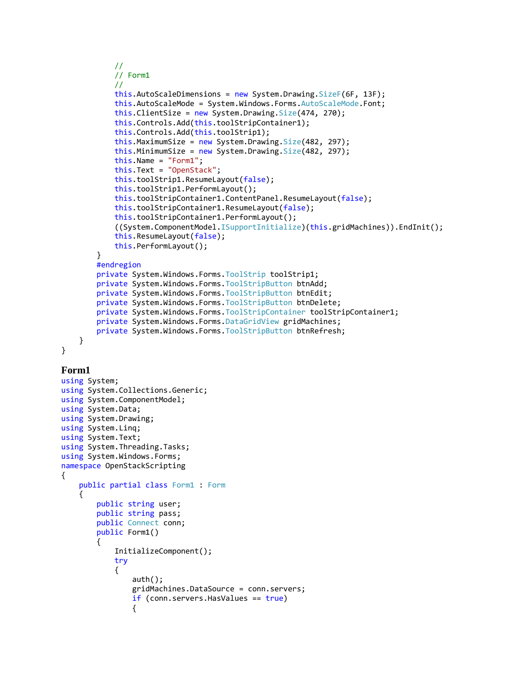```
 // 
             // Form1
             // 
            this.AutoScaleDimensions = new System.Drawing.SizeF(6F, 13F);
             this.AutoScaleMode = System.Windows.Forms.AutoScaleMode.Font;
            this.ClientSize = new System.Drawing.Size(474, 270);
             this.Controls.Add(this.toolStripContainer1);
             this.Controls.Add(this.toolStrip1);
             this.MaximumSize = new System.Drawing.Size(482, 297);
            this.MinimumSize = new System.Drawing.Size(482, 297); this.Name = "Form1";
             this.Text = "OpenStack";
             this.toolStrip1.ResumeLayout(false);
             this.toolStrip1.PerformLayout();
             this.toolStripContainer1.ContentPanel.ResumeLayout(false);
             this.toolStripContainer1.ResumeLayout(false);
             this.toolStripContainer1.PerformLayout();
             ((System.ComponentModel.ISupportInitialize)(this.gridMachines)).EndInit();
             this.ResumeLayout(false);
             this.PerformLayout();
         }
         #endregion
         private System.Windows.Forms.ToolStrip toolStrip1;
         private System.Windows.Forms.ToolStripButton btnAdd;
         private System.Windows.Forms.ToolStripButton btnEdit;
         private System.Windows.Forms.ToolStripButton btnDelete;
         private System.Windows.Forms.ToolStripContainer toolStripContainer1;
         private System.Windows.Forms.DataGridView gridMachines;
         private System.Windows.Forms.ToolStripButton btnRefresh;
     }
}
```
### **Form1**

```
using System;
using System.Collections.Generic;
using System.ComponentModel;
using System.Data;
using System.Drawing;
using System.Linq;
using System.Text;
using System.Threading.Tasks;
using System.Windows.Forms;
namespace OpenStackScripting
{
    public partial class Form1 : Form
     {
         public string user;
         public string pass;
         public Connect conn;
         public Form1()
         {
             InitializeComponent();
             try
\{ auth();
                 gridMachines.DataSource = conn.servers;
                if (conn.servers.HasValues == true)
\overline{a}
```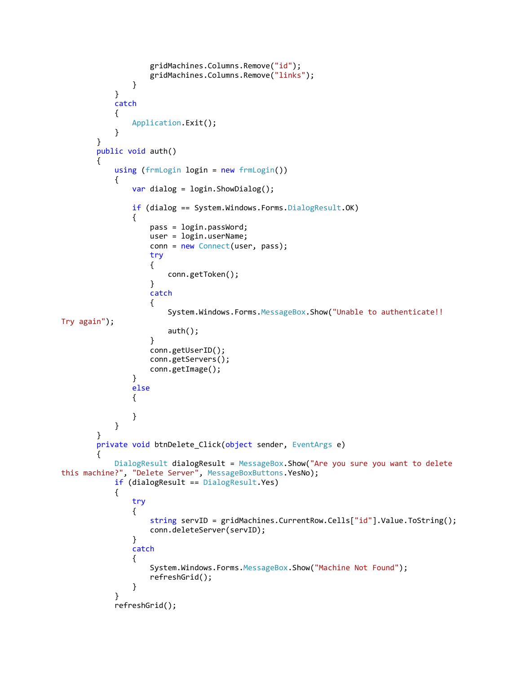```
 gridMachines.Columns.Remove("id");
                 gridMachines.Columns.Remove("links");
 }
 }
           catch
\{ Application.Exit();
 }
       }
       public void auth()
       {
          using (frmLogin login = new frmLogin())
\{ var dialog = login.ShowDialog();
              if (dialog == System.Windows.Forms.DialogResult.OK)
\overline{a} pass = login.passWord;
                 user = login.userName;
                 conn = new Connect(user, pass);
                  try
\{ conn.getToken();
 }
                 catch
                 {
                     System.Windows.Forms.MessageBox.Show("Unable to authenticate!! 
Try again");
                     auth();
 }
                 conn.getUserID();
                 conn.getServers();
                 conn.getImage();
 }
              else
\overline{a} }
 }
       }
       private void btnDelete_Click(object sender, EventArgs e)
       {
           DialogResult dialogResult = MessageBox.Show("Are you sure you want to delete 
this machine?", "Delete Server", MessageBoxButtons.YesNo);
           if (dialogResult == DialogResult.Yes)
\{ try
\{ string servID = gridMachines.CurrentRow.Cells["id"].Value.ToString();
                  conn.deleteServer(servID);
 }
              catch
\overline{a} System.Windows.Forms.MessageBox.Show("Machine Not Found");
                  refreshGrid();
 }
 }
           refreshGrid();
```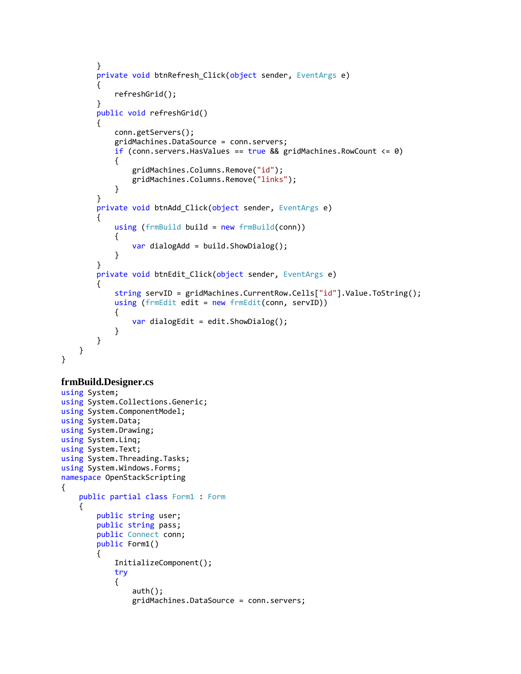```
 }
       private void btnRefresh Click(object sender, EventArgs e)
        {
            refreshGrid();
        }
        public void refreshGrid()
        {
            conn.getServers();
            gridMachines.DataSource = conn.servers;
           if (conn.servers.HasValues == true && gridMachines.RowCount \leq 0)
\{ gridMachines.Columns.Remove("id");
                gridMachines.Columns.Remove("links");
 }
        }
        private void btnAdd_Click(object sender, EventArgs e)
        {
            using (frmBuild build = new frmBuild(conn))
\{var dialogAdd = build.ShowDialog();
 }
        }
        private void btnEdit_Click(object sender, EventArgs e)
        {
            string servID = gridMachines.CurrentRow.Cells["id"].Value.ToString();
            using (frmEdit edit = new frmEdit(conn, servID))
\{var dialogEdit = edit.ShowDialog();
 }
        }
    }
```
### **frmBuild.Designer.cs**

}

```
using System;
using System.Collections.Generic;
using System.ComponentModel;
using System.Data;
using System.Drawing;
using System.Linq;
using System.Text;
using System.Threading.Tasks;
using System.Windows.Forms;
namespace OpenStackScripting
{
     public partial class Form1 : Form
     {
         public string user;
         public string pass;
         public Connect conn;
         public Form1()
         {
             InitializeComponent();
             try
\{ auth();
                 gridMachines.DataSource = conn.servers;
```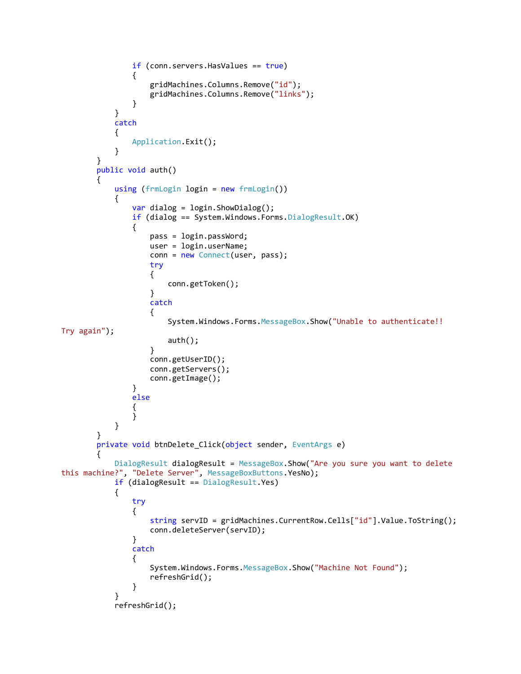```
 if (conn.servers.HasValues == true)
\overline{a} gridMachines.Columns.Remove("id");
                 gridMachines.Columns.Remove("links");
 }
 }
           catch
\{ Application.Exit();
 }
        }
       public void auth()
        {
           using (frmLogin login = new frmLogin())
\{ var dialog = login.ShowDialog();
             if (dialog == System.Windows.Forms.DialogResult.OK)
\overline{a} pass = login.passWord;
                 user = login.userName;
                 conn = new Connect(user, pass);
                  try
                 {
                     conn.getToken();
 }
                 catch
                 {
                     System.Windows.Forms.MessageBox.Show("Unable to authenticate!! 
Try again");
                     auth();
 }
                 conn.getUserID();
                 conn.getServers();
                 conn.getImage();
 }
             else<br>{
\overline{a} }
 }
        }
       private void btnDelete_Click(object sender, EventArgs e)
        {
           DialogResult dialogResult = MessageBox.Show("Are you sure you want to delete 
this machine?", "Delete Server", MessageBoxButtons.YesNo);
           if (dialogResult == DialogResult.Yes)
\{ try
\{ string servID = gridMachines.CurrentRow.Cells["id"].Value.ToString();
                  conn.deleteServer(servID);
 }
              catch
\overline{a} System.Windows.Forms.MessageBox.Show("Machine Not Found");
                  refreshGrid();
 }
 }
           refreshGrid();
```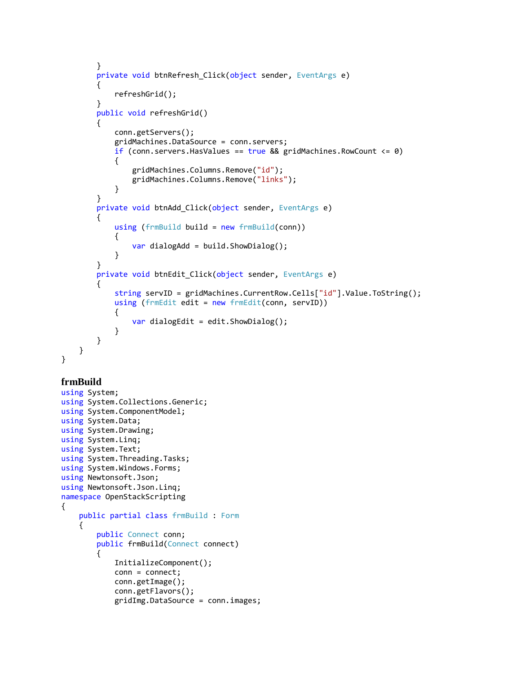```
 }
       private void btnRefresh Click(object sender, EventArgs e)
        {
            refreshGrid();
        }
        public void refreshGrid()
        {
            conn.getServers();
            gridMachines.DataSource = conn.servers;
           if (conn.servers.HasValues == true && gridMachines.RowCount \leq 0)
\{ gridMachines.Columns.Remove("id");
                gridMachines.Columns.Remove("links");
 }
        }
        private void btnAdd_Click(object sender, EventArgs e)
        {
            using (frmBuild build = new frmBuild(conn))
\{var dialogAdd = build.ShowDialog();
 }
        }
        private void btnEdit_Click(object sender, EventArgs e)
        {
            string servID = gridMachines.CurrentRow.Cells["id"].Value.ToString();
            using (frmEdit edit = new frmEdit(conn, servID))
\{var dialogEdit = edit.ShowDialog();
 }
        }
    }
```
### **frmBuild**

}

```
using System;
using System.Collections.Generic;
using System.ComponentModel;
using System.Data;
using System.Drawing;
using System.Linq;
using System.Text;
using System.Threading.Tasks;
using System.Windows.Forms;
using Newtonsoft.Json;
using Newtonsoft.Json.Linq;
namespace OpenStackScripting
{
     public partial class frmBuild : Form
     {
         public Connect conn;
         public frmBuild(Connect connect)
         {
             InitializeComponent();
             conn = connect;
             conn.getImage();
             conn.getFlavors();
             gridImg.DataSource = conn.images;
```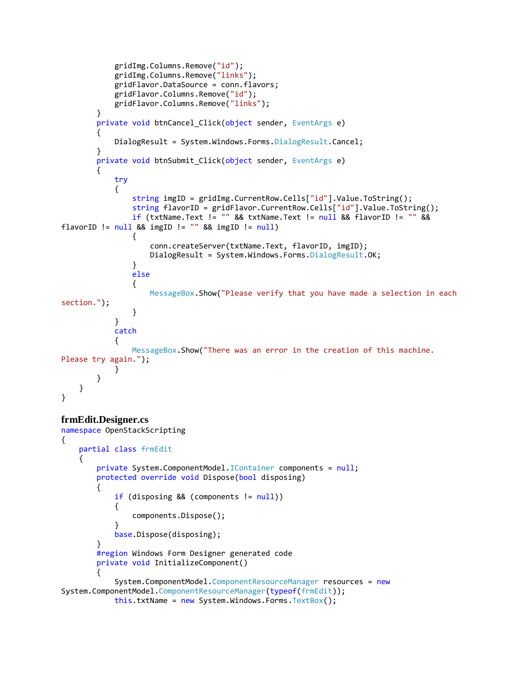```
 gridImg.Columns.Remove("id");
            gridImg.Columns.Remove("links");
            gridFlavor.DataSource = conn.flavors;
            gridFlavor.Columns.Remove("id");
            gridFlavor.Columns.Remove("links");
        }
       private void btnCancel Click(object sender, EventArgs e)
        {
           DialogResult = System.Windows.Forms.DialogResult.Cancel;
        }
        private void btnSubmit_Click(object sender, EventArgs e)
        {
            try
\{ string imgID = gridImg.CurrentRow.Cells["id"].Value.ToString();
                string flavorID = gridFlavor.CurrentRow.Cells["id"].Value.ToString();
                if (txtName.Text != "" && txtName.Text != null && flavorID != "" && 
flavorID != null && imgID != "" && imgID != null)\overline{a} conn.createServer(txtName.Text, flavorID, imgID);
                  DialogResult = System.Windows.Forms.DialogResult.OK;
 }
                else
\{ MessageBox.Show("Please verify that you have made a selection in each 
section.");
 }
 }
            catch
\{ MessageBox.Show("There was an error in the creation of this machine. 
Please try again.");
 }
        }
    }
}
```
### **frmEdit.Designer.cs**

```
namespace OpenStackScripting
{
    partial class frmEdit
     {
         private System.ComponentModel.IContainer components = null;
        protected override void Dispose(bool disposing)
         {
             if (disposing && (components != null))
\{ components.Dispose();
 }
             base.Dispose(disposing);
         }
        #region Windows Form Designer generated code
         private void InitializeComponent()
         {
             System.ComponentModel.ComponentResourceManager resources = new
System.ComponentModel.ComponentResourceManager(typeof(frmEdit));
            this.txtName = new System.Windows.Forms.TextBox();
```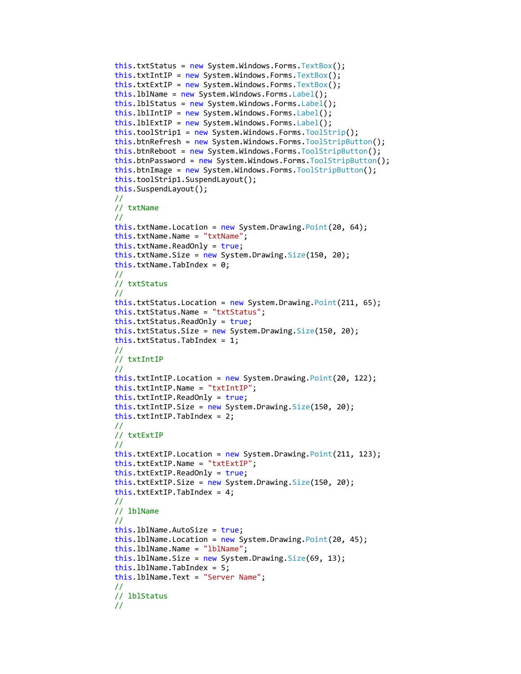```
 this.txtStatus = new System.Windows.Forms.TextBox();
 this.txtIntIP = new System.Windows.Forms.TextBox();
 this.txtExtIP = new System.Windows.Forms.TextBox();
 this.lblName = new System.Windows.Forms.Label();
this.lblStatus = new System.Windows.Forms.Label();
this.lblIntIP = new System.Windows.Forms.Label();
this. blExtIP = new System.Windows.Forms. Label();
 this.toolStrip1 = new System.Windows.Forms.ToolStrip();
 this.btnRefresh = new System.Windows.Forms.ToolStripButton();
 this.btnReboot = new System.Windows.Forms.ToolStripButton();
 this.btnPassword = new System.Windows.Forms.ToolStripButton();
 this.btnImage = new System.Windows.Forms.ToolStripButton();
 this.toolStrip1.SuspendLayout();
 this.SuspendLayout();
 // 
 // txtName
 // 
 this.txtName.Location = new System.Drawing.Point(20, 64);
 this.txtName.Name = "txtName";
 this.txtName.ReadOnly = true;
this.txtName.Size = new System.Drawing.Size(150, 20);
 this.txtName.TabIndex = 0;
 // 
 // txtStatus
 // 
 this.txtStatus.Location = new System.Drawing.Point(211, 65);
 this.txtStatus.Name = "txtStatus";
 this.txtStatus.ReadOnly = true;
 this.txtStatus.Size = new System.Drawing.Size(150, 20);
 this.txtStatus.TabIndex = 1;
 // 
 // txtIntIP
 // 
 this.txtIntIP.Location = new System.Drawing.Point(20, 122);
 this.txtIntIP.Name = "txtIntIP";
 this.txtIntIP.ReadOnly = true;
 this.txtIntIP.Size = new System.Drawing.Size(150, 20);
 this.txtIntIP.TabIndex = 2;
 // 
 // txtExtIP
 // 
 this.txtExtIP.Location = new System.Drawing.Point(211, 123);
 this.txtExtIP.Name = "txtExtIP";
 this.txtExtIP.ReadOnly = true;
 this.txtExtIP.Size = new System.Drawing.Size(150, 20);
 this.txtExtIP.TabIndex = 4;
 // 
 // lblName
 // 
 this.lblName.AutoSize = true;
this.lblName.Location = new System.Drawing.Point(20, 45);
 this.lblName.Name = "lblName";
this.1b1Name.Size = new System.Drawing.Size(69, 13); this.lblName.TabIndex = 5;
 this.lblName.Text = "Server Name";
 // 
 // lblStatus
 //
```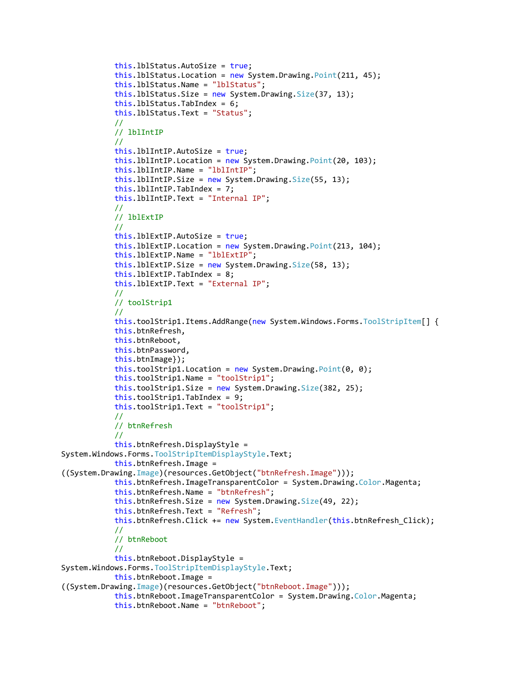```
 this.lblStatus.AutoSize = true;
             this.lblStatus.Location = new System.Drawing.Point(211, 45);
             this.lblStatus.Name = "lblStatus";
             this.lblStatus.Size = new System.Drawing.Size(37, 13);
             this.lblStatus.TabIndex = 6;
             this.lblStatus.Text = "Status";
             // 
             // lblIntIP
             // 
             this.lblIntIP.AutoSize = true;
             this.lblIntIP.Location = new System.Drawing.Point(20, 103);
             this.lblIntIP.Name = "lblIntIP";
            this. IblIntIP. Size = new System. Drawing. Size(55, 13);
             this.lblIntIP.TabIndex = 7;
             this.lblIntIP.Text = "Internal IP";
             // 
             // lblExtIP
             // 
             this.lblExtIP.AutoSize = true;
             this.lblExtIP.Location = new System.Drawing.Point(213, 104);
             this.lblExtIP.Name = "lblExtIP";
            this. lblExtIP. Size = new System. Drawing. Size(58, 13);
             this.lblExtIP.TabIndex = 8;
             this.lblExtIP.Text = "External IP";
             // 
             // toolStrip1
             // 
             this.toolStrip1.Items.AddRange(new System.Windows.Forms.ToolStripItem[] {
             this.btnRefresh,
             this.btnReboot,
             this.btnPassword,
             this.btnImage});
            this.toolStrip1.Location = new System.Drawing.Point(0, 0); this.toolStrip1.Name = "toolStrip1";
             this.toolStrip1.Size = new System.Drawing.Size(382, 25);
             this.toolStrip1.TabIndex = 9;
             this.toolStrip1.Text = "toolStrip1";
             // 
             // btnRefresh
             // 
             this.btnRefresh.DisplayStyle = 
System.Windows.Forms.ToolStripItemDisplayStyle.Text;
             this.btnRefresh.Image = 
((System.Drawing.Image)(resources.GetObject("btnRefresh.Image")));
             this.btnRefresh.ImageTransparentColor = System.Drawing.Color.Magenta;
             this.btnRefresh.Name = "btnRefresh";
             this.btnRefresh.Size = new System.Drawing.Size(49, 22);
             this.btnRefresh.Text = "Refresh";
             this.btnRefresh.Click += new System.EventHandler(this.btnRefresh_Click);
             // 
             // btnReboot
             // 
             this.btnReboot.DisplayStyle = 
System.Windows.Forms.ToolStripItemDisplayStyle.Text;
             this.btnReboot.Image = 
((System.Drawing.Image)(resources.GetObject("btnReboot.Image")));
             this.btnReboot.ImageTransparentColor = System.Drawing.Color.Magenta;
             this.btnReboot.Name = "btnReboot";
```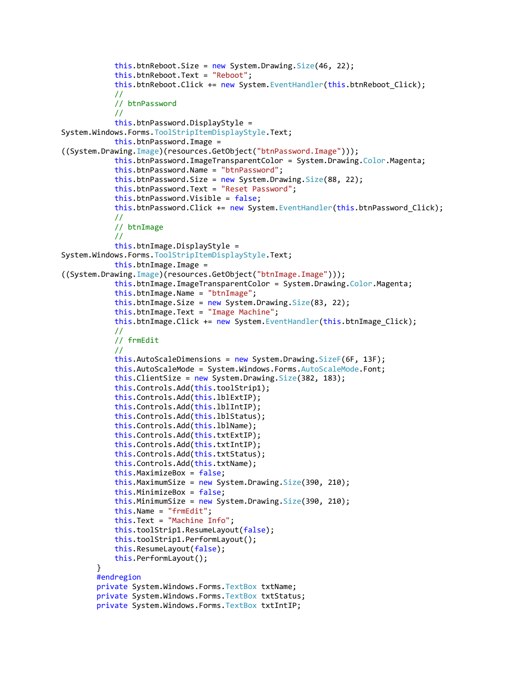```
this.btnReboot.Size = new System.Drawing.Size(46, 22); this.btnReboot.Text = "Reboot";
             this.btnReboot.Click += new System.EventHandler(this.btnReboot_Click);
             // 
             // btnPassword
             // 
             this.btnPassword.DisplayStyle = 
System.Windows.Forms.ToolStripItemDisplayStyle.Text;
             this.btnPassword.Image = 
((System.Drawing.Image)(resources.GetObject("btnPassword.Image")));
             this.btnPassword.ImageTransparentColor = System.Drawing.Color.Magenta;
             this.btnPassword.Name = "btnPassword";
            this.btnPassword.Size = new System.Drawing.Size(88, 22); this.btnPassword.Text = "Reset Password";
             this.btnPassword.Visible = false;
            this.btnPassword.Click += new System.EventHandler(this.btnPassword Click);
             // 
             // btnImage
             // 
             this.btnImage.DisplayStyle = 
System.Windows.Forms.ToolStripItemDisplayStyle.Text;
             this.btnImage.Image = 
((System.Drawing.Image)(resources.GetObject("btnImage.Image")));
            this.btnImage.ImageTransparentColor = System.Drawing.Color.Magenta;
             this.btnImage.Name = "btnImage";
            this.btnImage.Size = new System.Drawing.Size(83, 22); this.btnImage.Text = "Image Machine";
            this.btnImage.Click += new System.EventHandler(this.btnImage Click);
             // 
             // frmEdit
             // 
             this.AutoScaleDimensions = new System.Drawing.SizeF(6F, 13F);
             this.AutoScaleMode = System.Windows.Forms.AutoScaleMode.Font;
            this.ClientSize = new System.Drawing.Size(382, 183);
             this.Controls.Add(this.toolStrip1);
             this.Controls.Add(this.lblExtIP);
             this.Controls.Add(this.lblIntIP);
             this.Controls.Add(this.lblStatus);
             this.Controls.Add(this.lblName);
             this.Controls.Add(this.txtExtIP);
             this.Controls.Add(this.txtIntIP);
             this.Controls.Add(this.txtStatus);
             this.Controls.Add(this.txtName);
             this.MaximizeBox = false;
             this.MaximumSize = new System.Drawing.Size(390, 210);
             this.MinimizeBox = false;
             this.MinimumSize = new System.Drawing.Size(390, 210);
             this.Name = "frmEdit";
             this.Text = "Machine Info";
             this.toolStrip1.ResumeLayout(false);
             this.toolStrip1.PerformLayout();
             this.ResumeLayout(false);
             this.PerformLayout();
         }
         #endregion
         private System.Windows.Forms.TextBox txtName;
         private System.Windows.Forms.TextBox txtStatus;
         private System.Windows.Forms.TextBox txtIntIP;
```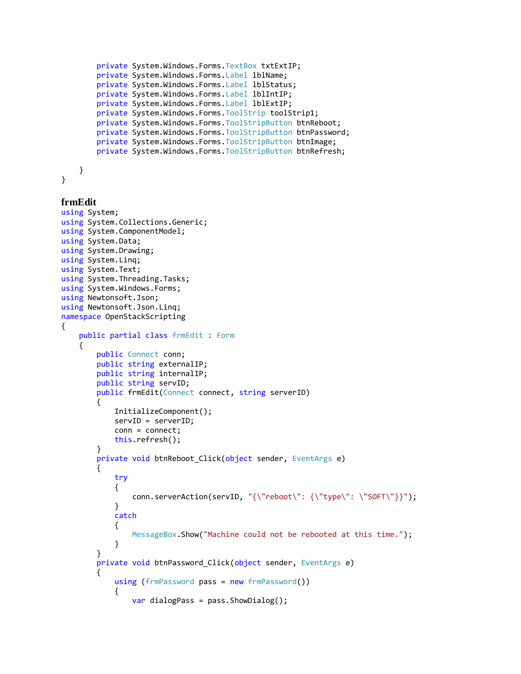```
 private System.Windows.Forms.TextBox txtExtIP;
     private System.Windows.Forms.Label lblName;
     private System.Windows.Forms.Label lblStatus;
     private System.Windows.Forms.Label lblIntIP;
     private System.Windows.Forms.Label lblExtIP;
     private System.Windows.Forms.ToolStrip toolStrip1;
     private System.Windows.Forms.ToolStripButton btnReboot;
     private System.Windows.Forms.ToolStripButton btnPassword;
     private System.Windows.Forms.ToolStripButton btnImage;
     private System.Windows.Forms.ToolStripButton btnRefresh;
 }
```

```
}
```
{

### **frmEdit**

```
using System;
using System.Collections.Generic;
using System.ComponentModel;
using System.Data;
using System.Drawing;
using System.Linq;
using System.Text;
using System.Threading.Tasks;
using System.Windows.Forms;
using Newtonsoft.Json;
using Newtonsoft.Json.Linq;
namespace OpenStackScripting
    public partial class frmEdit : Form
     {
        public Connect conn;
        public string externalIP;
         public string internalIP;
         public string servID;
         public frmEdit(Connect connect, string serverID)
         {
             InitializeComponent();
             servID = serverID;
             conn = connect;
             this.refresh(); 
         }
        private void btnReboot_Click(object sender, EventArgs e)
         {
             try
\{ conn.serverAction(servID, "{\"reboot\": {\"type\": \"SOFT\"}}");
 }
             catch
\{ MessageBox.Show("Machine could not be rebooted at this time.");
 }
         }
         private void btnPassword_Click(object sender, EventArgs e)
\overline{\mathcal{L}} using (frmPassword pass = new frmPassword())
\{var dialogPass = pass.ShowDialog();
```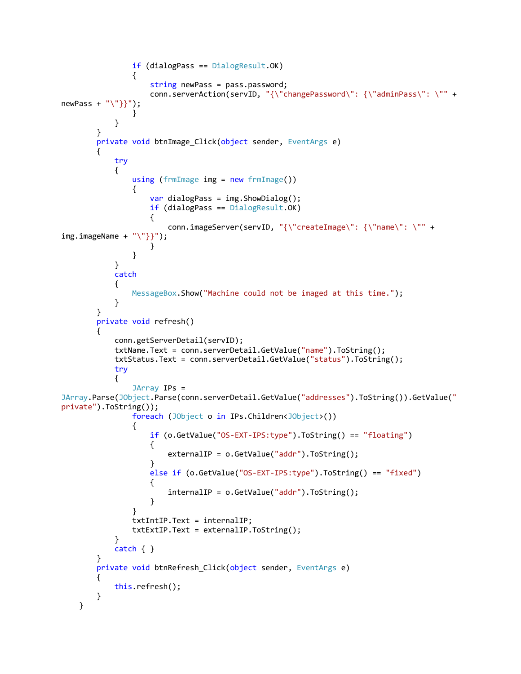```
 if (dialogPass == DialogResult.OK)
\overline{a} string newPass = pass.password;
                 conn.serverAction(servID, "{\"changePassword\": {\"adminPass\": \"" +
newPass + "\"\}");
 }
 }
       }
      private void btnImage Click(object sender, EventArgs e)
       {
           try
\{using (frmImage img = new frmImage())
\overline{a}var dialogPass = img.ShowDialog();if (dialogPass == DialogResult.OK)
\{conn.imageServer(servID, "{\"createImage\": {\"name\": \"" +<br>"\"}}");
img.inageName + }
 }
 }
           catch
\{MessageBox.Show("Machine could not be imaged at this time.");
 }
       }
       private void refresh()
       {
           conn.getServerDetail(servID);
           txtName.Text = conn.serverDetail.GetValue("name").ToString();
           txtStatus.Text = conn.serverDetail.GetValue("status").ToString();
           try
\{ JArray IPs = 
JArray.Parse(JObject.Parse(conn.serverDetail.GetValue("addresses").ToString()).GetValue("
private").ToString());
              foreach (JObject o in IPs.Children<JObject>())
\{ if (o.GetValue("OS-EXT-IPS:type").ToString() == "floating")
\{ externalIP = o.GetValue("addr").ToString();
 }
                 else if (o.GetValue("OS-EXT-IPS:type").ToString() == "fixed")
\{ internalIP = o.GetValue("addr").ToString();
 }
 }
              txtIntIP.Text = internalIP;
              txtExtIP.Text = externalIP.ToString();
 }
           catch { }
       }
      private void btnRefresh Click(object sender, EventArgs e)
       {
           this.refresh();
       }
    }
```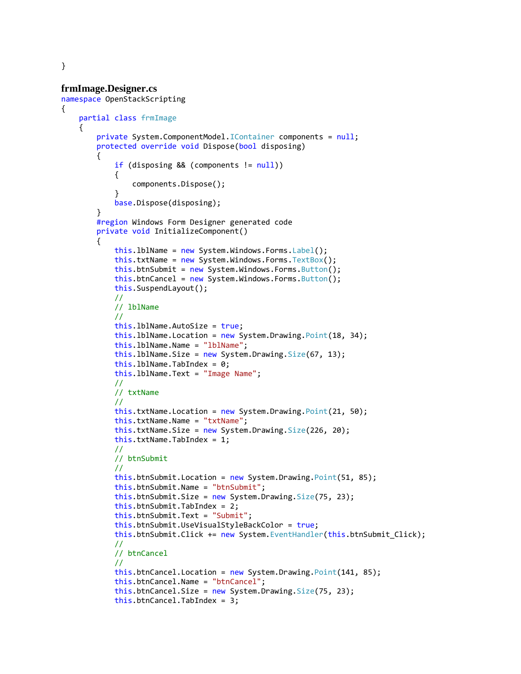### **frmImage.Designer.cs**

```
namespace OpenStackScripting
     partial class frmImage
     {
         private System.ComponentModel.IContainer components = null;
         protected override void Dispose(bool disposing)
         {
             if (disposing && (components != null))
\{ components.Dispose();
 }
             base.Dispose(disposing);
         }
         #region Windows Form Designer generated code
         private void InitializeComponent()
         {
             this.lblName = new System.Windows.Forms.Label();
             this.txtName = new System.Windows.Forms.TextBox();
            this.btnSubmit = new System.Windows.Forms.Button();
            this.btnCancel = new System.Windows.Forms.Button();
             this.SuspendLayout();
             // 
             // lblName
             // 
             this.lblName.AutoSize = true;
             this.lblName.Location = new System.Drawing.Point(18, 34);
             this.lblName.Name = "lblName";
            this.1b1Name.Size = new System.Drawing.Size(67, 13);this.lblName.TabIndex = 0; this.lblName.Text = "Image Name";
             // 
             // txtName
             // 
             this.txtName.Location = new System.Drawing.Point(21, 50);
             this.txtName.Name = "txtName";
            this.txtName.Size = new System.Drawing.Size(226, 20);
             this.txtName.TabIndex = 1;
             // 
             // btnSubmit
             // 
             this.btnSubmit.Location = new System.Drawing.Point(51, 85);
             this.btnSubmit.Name = "btnSubmit";
            this.btnSubmit.Size = new System.Drawing.Size(75, 23); this.btnSubmit.TabIndex = 2;
             this.btnSubmit.Text = "Submit";
             this.btnSubmit.UseVisualStyleBackColor = true;
            this.btnSubmit.Click += new System.EventHandler(this.btnSubmit Click);
             // 
             // btnCancel
             // 
             this.btnCancel.Location = new System.Drawing.Point(141, 85);
             this.btnCancel.Name = "btnCancel";
             this.btnCancel.Size = new System.Drawing.Size(75, 23);
             this.btnCancel.TabIndex = 3;
```
}

{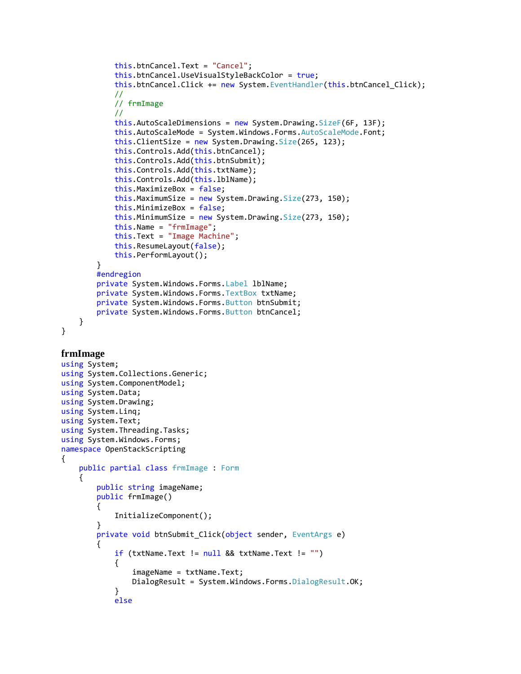```
 this.btnCancel.Text = "Cancel";
             this.btnCancel.UseVisualStyleBackColor = true;
             this.btnCancel.Click += new System.EventHandler(this.btnCancel_Click);
             // 
             // frmImage
             // 
             this.AutoScaleDimensions = new System.Drawing.SizeF(6F, 13F);
             this.AutoScaleMode = System.Windows.Forms.AutoScaleMode.Font;
            this.ClientSize = new System.Drawing.Size(265, 123);
             this.Controls.Add(this.btnCancel);
             this.Controls.Add(this.btnSubmit);
             this.Controls.Add(this.txtName);
            this.Controls.Add(this.lblName);
             this.MaximizeBox = false;
            this.MaximumSize = new System.Drawing.Size(273, 150);
             this.MinimizeBox = false;
            this.MinimumSize = new System.Drawing.Size(273, 150);
             this.Name = "frmImage";
             this.Text = "Image Machine";
             this.ResumeLayout(false);
             this.PerformLayout();
         }
         #endregion
         private System.Windows.Forms.Label lblName;
         private System.Windows.Forms.TextBox txtName;
         private System.Windows.Forms.Button btnSubmit;
         private System.Windows.Forms.Button btnCancel;
     }
}
frmImage
using System;
using System.Collections.Generic;
using System.ComponentModel;
using System.Data;
using System.Drawing;
using System.Linq;
using System.Text;
using System.Threading.Tasks;
using System.Windows.Forms;
namespace OpenStackScripting
{
     public partial class frmImage : Form
     {
         public string imageName;
         public frmImage()
         {
             InitializeComponent();
         }
        private void btnSubmit Click(object sender, EventArgs e)
\overline{\mathcal{L}} if (txtName.Text != null && txtName.Text != "")
\{ imageName = txtName.Text;
                 DialogResult = System.Windows.Forms.DialogResult.OK;
```
}

else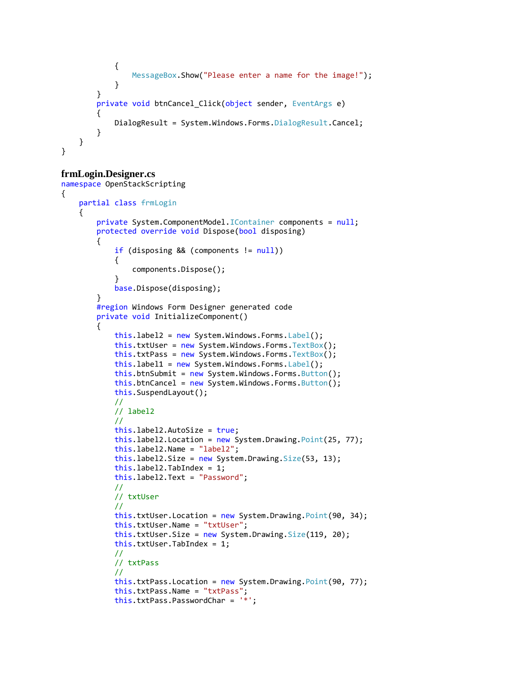```
\{ MessageBox.Show("Please enter a name for the image!");
 }
        }
        private void btnCancel_Click(object sender, EventArgs e)
\overline{\mathcal{L}}DialogResult = System.Windows.Forms.DialogResult.Cancel;
 }
    }
}
```
## **frmLogin.Designer.cs**

```
namespace OpenStackScripting
{
     partial class frmLogin
     {
         private System.ComponentModel.IContainer components = null;
         protected override void Dispose(bool disposing)
         {
             if (disposing && (components != null))
\{ components.Dispose();
 }
             base.Dispose(disposing);
 }
         #region Windows Form Designer generated code
         private void InitializeComponent()
         {
             this.label2 = new System.Windows.Forms.Label();
             this.txtUser = new System.Windows.Forms.TextBox();
             this.txtPass = new System.Windows.Forms.TextBox();
             this.label1 = new System.Windows.Forms.Label();
             this.btnSubmit = new System.Windows.Forms.Button();
             this.btnCancel = new System.Windows.Forms.Button();
             this.SuspendLayout();
             // 
             // label2
             // 
             this.label2.AutoSize = true;
             this.label2.Location = new System.Drawing.Point(25, 77);
             this.label2.Name = "label2";
             this.label2.Size = new System.Drawing.Size(53, 13);
             this.label2.TabIndex = 1;
             this.label2.Text = "Password";
             //
             // txtUser
             // 
             this.txtUser.Location = new System.Drawing.Point(90, 34);
             this.txtUser.Name = "txtUser";
             this.txtUser.Size = new System.Drawing.Size(119, 20);
             this.txtUser.TabIndex = 1;
             // 
             // txtPass
             // 
             this.txtPass.Location = new System.Drawing.Point(90, 77);
             this.txtPass.Name = "txtPass";
             this.txtPass.PasswordChar = '*';
```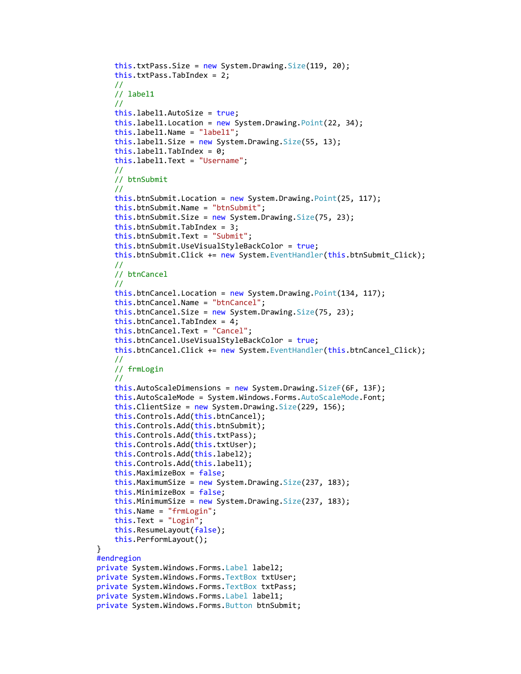```
this.txtPass.size = new System.Drawing.Size(119, 20); this.txtPass.TabIndex = 2;
     // 
     // label1
     // 
     this.label1.AutoSize = true;
    this.label1.Location = new System.Drawing.Point(22, 34);
     this.label1.Name = "label1";
    this. label1. Size = new System. Drawing. Size(55, 13);
    this.label1.TabIndex = 0;
     this.label1.Text = "Username";
     // 
     // btnSubmit
     // 
     this.btnSubmit.Location = new System.Drawing.Point(25, 117);
     this.btnSubmit.Name = "btnSubmit";
    this.btnSubmit.Size = new System.Drawing.Size(75, 23);
     this.btnSubmit.TabIndex = 3;
     this.btnSubmit.Text = "Submit";
     this.btnSubmit.UseVisualStyleBackColor = true;
     this.btnSubmit.Click += new System.EventHandler(this.btnSubmit_Click);
     // 
     // btnCancel
     // 
    this.btnCancel.Location = new System.Drawing.Point(134, 117);
     this.btnCancel.Name = "btnCancel";
    this.btnCancel.Size = new System.Drawing.Size(75, 23);
     this.btnCancel.TabIndex = 4;
     this.btnCancel.Text = "Cancel";
     this.btnCancel.UseVisualStyleBackColor = true;
     this.btnCancel.Click += new System.EventHandler(this.btnCancel_Click);
     // 
     // frmLogin
     // 
     this.AutoScaleDimensions = new System.Drawing.SizeF(6F, 13F);
     this.AutoScaleMode = System.Windows.Forms.AutoScaleMode.Font;
    this. ClientSize = new System. Drawing. Size(229, 156);
     this.Controls.Add(this.btnCancel);
     this.Controls.Add(this.btnSubmit);
     this.Controls.Add(this.txtPass);
     this.Controls.Add(this.txtUser);
    this.Controls.Add(this.label2);
     this.Controls.Add(this.label1);
     this.MaximizeBox = false;
    this.MaximumSize = new System.Drawing.Size(237, 183);
     this.MinimizeBox = false;
     this.MinimumSize = new System.Drawing.Size(237, 183);
     this.Name = "frmLogin";
     this.Text = "Login";
     this.ResumeLayout(false);
     this.PerformLayout();
 #endregion
 private System.Windows.Forms.Label label2;
 private System.Windows.Forms.TextBox txtUser;
 private System.Windows.Forms.TextBox txtPass;
 private System.Windows.Forms.Label label1;
 private System.Windows.Forms.Button btnSubmit;
```
}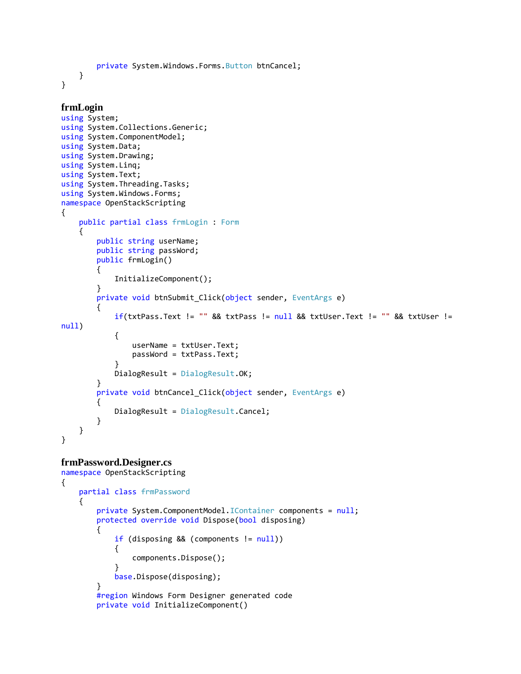private System.Windows.Forms.Button btnCancel; } }

```
frmLogin
using System;
using System.Collections.Generic;
using System.ComponentModel;
using System.Data;
using System.Drawing;
using System.Linq;
using System.Text;
using System.Threading.Tasks;
using System.Windows.Forms;
namespace OpenStackScripting
{
    public partial class frmLogin : Form
     {
        public string userName;
        public string passWord;
        public frmLogin()
         {
             InitializeComponent();
         }
       private void btnSubmit_Click(object sender, EventArgs e)
        {
            if(txtPass.Text != " " & txPass != null & txUser.Text != " " & 125null)
\{ userName = txtUser.Text;
                 passWord = txtPass.Text;
 }
             DialogResult = DialogResult.OK;
         }
        private void btnCancel_Click(object sender, EventArgs e)
         {
             DialogResult = DialogResult.Cancel;
         }
    }
}
```
### **frmPassword.Designer.cs**

```
namespace OpenStackScripting
{
    partial class frmPassword
    {
        private System.ComponentModel.IContainer components = null;
        protected override void Dispose(bool disposing)
        {
           if (disposing && (components != null))
\{ components.Dispose();
 }
            base.Dispose(disposing);
        }
        #region Windows Form Designer generated code
        private void InitializeComponent()
```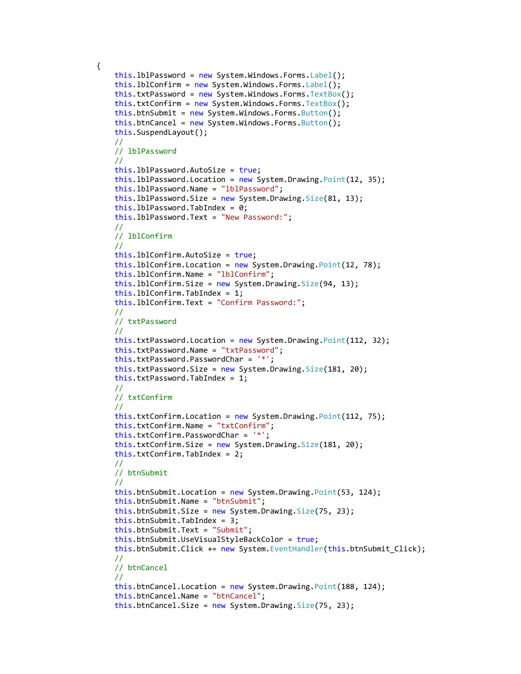```
 this.lblPassword = new System.Windows.Forms.Label();
 this.lblConfirm = new System.Windows.Forms.Label();
 this.txtPassword = new System.Windows.Forms.TextBox();
 this.txtConfirm = new System.Windows.Forms.TextBox();
 this.btnSubmit = new System.Windows.Forms.Button();
this.btnCancel = new System.Windows.Forms.Button();
 this.SuspendLayout();
 // 
 // lblPassword
 // 
 this.lblPassword.AutoSize = true;
 this.lblPassword.Location = new System.Drawing.Point(12, 35);
 this.lblPassword.Name = "lblPassword";
this. 1b1Password.Size = new System.Drawing.Size(81, 13);this.1b1Password.TabIndex = 0; this.lblPassword.Text = "New Password:";
 // 
 // lblConfirm
 // 
 this.lblConfirm.AutoSize = true;
 this.lblConfirm.Location = new System.Drawing.Point(12, 78);
 this.lblConfirm.Name = "lblConfirm";
this.lblConfirm.Size = new System.Drawing.Size(94, 13);
 this.lblConfirm.TabIndex = 1;
 this.lblConfirm.Text = "Confirm Password:";
 // 
 // txtPassword
 // 
 this.txtPassword.Location = new System.Drawing.Point(112, 32);
 this.txtPassword.Name = "txtPassword";
 this.txtPassword.PasswordChar = '*';
 this.txtPassword.Size = new System.Drawing.Size(181, 20);
 this.txtPassword.TabIndex = 1;
 // 
 // txtConfirm
 // 
 this.txtConfirm.Location = new System.Drawing.Point(112, 75);
 this.txtConfirm.Name = "txtConfirm";
 this.txtConfirm.PasswordChar = '*';
 this.txtConfirm.Size = new System.Drawing.Size(181, 20);
 this.txtConfirm.TabIndex = 2;
 // 
 // btnSubmit
 // 
 this.btnSubmit.Location = new System.Drawing.Point(53, 124);
 this.btnSubmit.Name = "btnSubmit";
this.btnSubmit.Size = new System.Drawing.Size(75, 23);
this.btnSubmit.TabIndex = 3; this.btnSubmit.Text = "Submit";
 this.btnSubmit.UseVisualStyleBackColor = true;
 this.btnSubmit.Click += new System.EventHandler(this.btnSubmit_Click);
 // 
 // btnCancel
 // 
 this.btnCancel.Location = new System.Drawing.Point(188, 124);
 this.btnCancel.Name = "btnCancel";
 this.btnCancel.Size = new System.Drawing.Size(75, 23);
```
{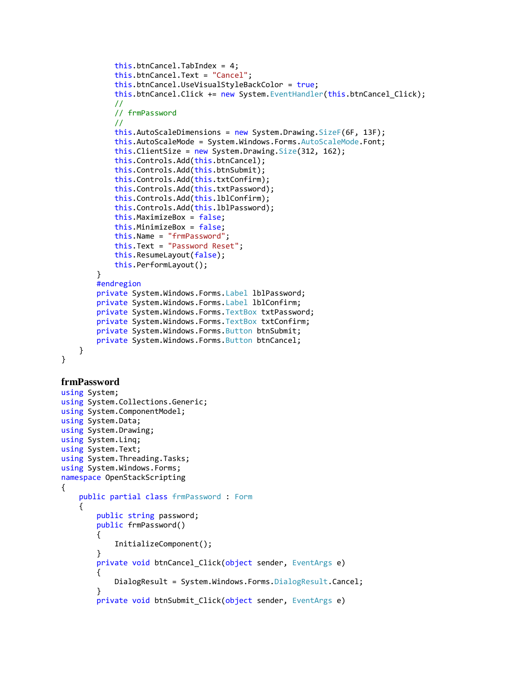```
 this.btnCancel.TabIndex = 4;
             this.btnCancel.Text = "Cancel";
             this.btnCancel.UseVisualStyleBackColor = true;
             this.btnCancel.Click += new System.EventHandler(this.btnCancel_Click);
             // 
             // frmPassword
             // 
             this.AutoScaleDimensions = new System.Drawing.SizeF(6F, 13F);
             this.AutoScaleMode = System.Windows.Forms.AutoScaleMode.Font;
             this.ClientSize = new System.Drawing.Size(312, 162);
             this.Controls.Add(this.btnCancel);
             this.Controls.Add(this.btnSubmit);
             this.Controls.Add(this.txtConfirm);
             this.Controls.Add(this.txtPassword);
             this.Controls.Add(this.lblConfirm);
             this.Controls.Add(this.lblPassword);
             this.MaximizeBox = false;
             this.MinimizeBox = false;
             this.Name = "frmPassword";
             this.Text = "Password Reset";
             this.ResumeLayout(false);
             this.PerformLayout();
         }
         #endregion
         private System.Windows.Forms.Label lblPassword;
         private System.Windows.Forms.Label lblConfirm;
         private System.Windows.Forms.TextBox txtPassword;
         private System.Windows.Forms.TextBox txtConfirm;
         private System.Windows.Forms.Button btnSubmit;
         private System.Windows.Forms.Button btnCancel;
     }
frmPassword
using System;
using System.Collections.Generic;
using System.ComponentModel;
using System.Data;
using System.Drawing;
using System.Linq;
```

```
using System.Text;
using System.Threading.Tasks;
using System.Windows.Forms;
```

```
namespace OpenStackScripting
```

```
{
```
}

```
 {
```

```
 public partial class frmPassword : Form
     public string password;
     public frmPassword()
     {
         InitializeComponent();
     }
     private void btnCancel_Click(object sender, EventArgs e)
     {
        DialogResult = System.Windows.Forms.DialogResult.Cancel;
     }
    private void btnSubmit Click(object sender, EventArgs e)
```